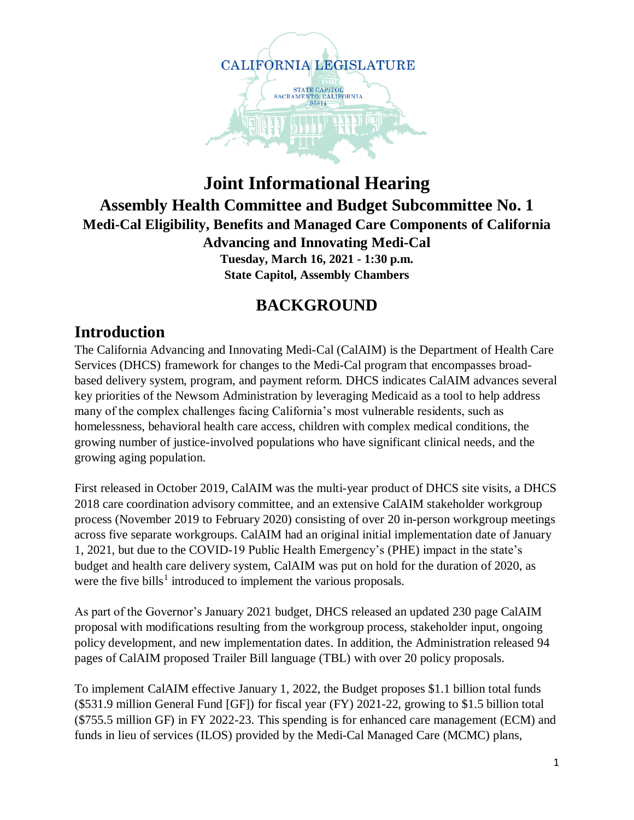

### **Joint Informational Hearing Assembly Health Committee and Budget Subcommittee No. 1 Medi-Cal Eligibility, Benefits and Managed Care Components of California Advancing and Innovating Medi-Cal Tuesday, March 16, 2021 - 1:30 p.m. State Capitol, Assembly Chambers**

## **BACKGROUND**

## **Introduction**

The California Advancing and Innovating Medi-Cal (CalAIM) is the Department of Health Care Services (DHCS) framework for changes to the Medi-Cal program that encompasses broadbased delivery system, program, and payment reform. DHCS indicates CalAIM advances several key priorities of the Newsom Administration by leveraging Medicaid as a tool to help address many of the complex challenges facing California's most vulnerable residents, such as homelessness, behavioral health care access, children with complex medical conditions, the growing number of justice-involved populations who have significant clinical needs, and the growing aging population.

First released in October 2019, CalAIM was the multi-year product of DHCS site visits, a DHCS 2018 care coordination advisory committee, and an extensive CalAIM stakeholder workgroup process (November 2019 to February 2020) consisting of over 20 in-person workgroup meetings across five separate workgroups. CalAIM had an original initial implementation date of January 1, 2021, but due to the COVID-19 Public Health Emergency's (PHE) impact in the state's budget and health care delivery system, CalAIM was put on hold for the duration of 2020, as were the five bills<sup>1</sup> introduced to implement the various proposals.

As part of the Governor's January 2021 budget, DHCS released an updated 230 page CalAIM proposal with modifications resulting from the workgroup process, stakeholder input, ongoing policy development, and new implementation dates. In addition, the Administration released 94 pages of CalAIM proposed Trailer Bill language (TBL) with over 20 policy proposals.

To implement CalAIM effective January 1, 2022, the Budget proposes \$1.1 billion total funds (\$531.9 million General Fund [GF]) for fiscal year (FY) 2021-22, growing to \$1.5 billion total (\$755.5 million GF) in FY 2022-23. This spending is for enhanced care management (ECM) and funds in lieu of services (ILOS) provided by the Medi-Cal Managed Care (MCMC) plans,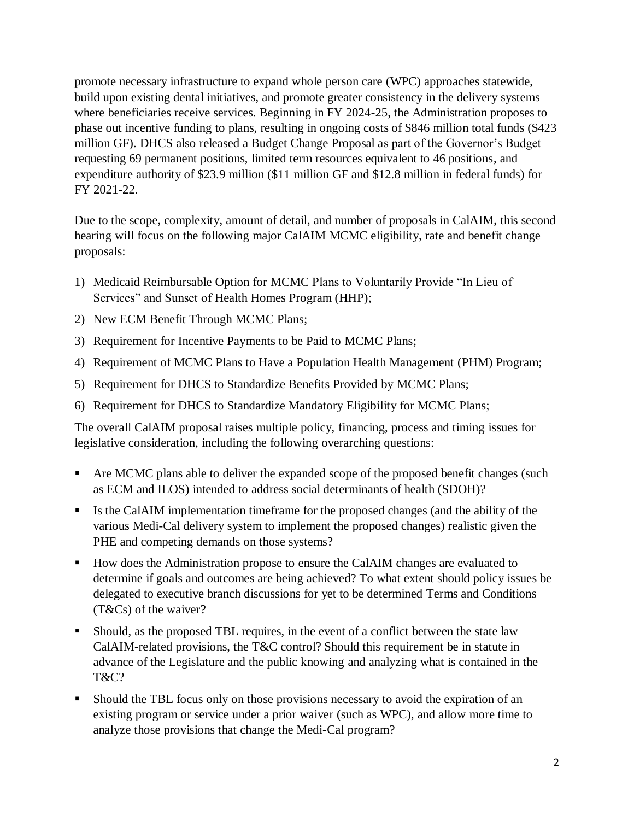promote necessary infrastructure to expand whole person care (WPC) approaches statewide, build upon existing dental initiatives, and promote greater consistency in the delivery systems where beneficiaries receive services. Beginning in FY 2024-25, the Administration proposes to phase out incentive funding to plans, resulting in ongoing costs of \$846 million total funds (\$423 million GF). DHCS also released a Budget Change Proposal as part of the Governor's Budget requesting 69 permanent positions, limited term resources equivalent to 46 positions, and expenditure authority of \$23.9 million (\$11 million GF and \$12.8 million in federal funds) for FY 2021-22.

Due to the scope, complexity, amount of detail, and number of proposals in CalAIM, this second hearing will focus on the following major CalAIM MCMC eligibility, rate and benefit change proposals:

- 1) Medicaid Reimbursable Option for MCMC Plans to Voluntarily Provide "In Lieu of Services" and Sunset of Health Homes Program (HHP);
- 2) New ECM Benefit Through MCMC Plans;
- 3) Requirement for Incentive Payments to be Paid to MCMC Plans;
- 4) Requirement of MCMC Plans to Have a Population Health Management (PHM) Program;
- 5) Requirement for DHCS to Standardize Benefits Provided by MCMC Plans;
- 6) Requirement for DHCS to Standardize Mandatory Eligibility for MCMC Plans;

The overall CalAIM proposal raises multiple policy, financing, process and timing issues for legislative consideration, including the following overarching questions:

- Are MCMC plans able to deliver the expanded scope of the proposed benefit changes (such as ECM and ILOS) intended to address social determinants of health (SDOH)?
- Is the CalAIM implementation timeframe for the proposed changes (and the ability of the various Medi-Cal delivery system to implement the proposed changes) realistic given the PHE and competing demands on those systems?
- How does the Administration propose to ensure the CalAIM changes are evaluated to determine if goals and outcomes are being achieved? To what extent should policy issues be delegated to executive branch discussions for yet to be determined Terms and Conditions (T&Cs) of the waiver?
- Should, as the proposed TBL requires, in the event of a conflict between the state law CalAIM-related provisions, the T&C control? Should this requirement be in statute in advance of the Legislature and the public knowing and analyzing what is contained in the T&C?
- Should the TBL focus only on those provisions necessary to avoid the expiration of an existing program or service under a prior waiver (such as WPC), and allow more time to analyze those provisions that change the Medi-Cal program?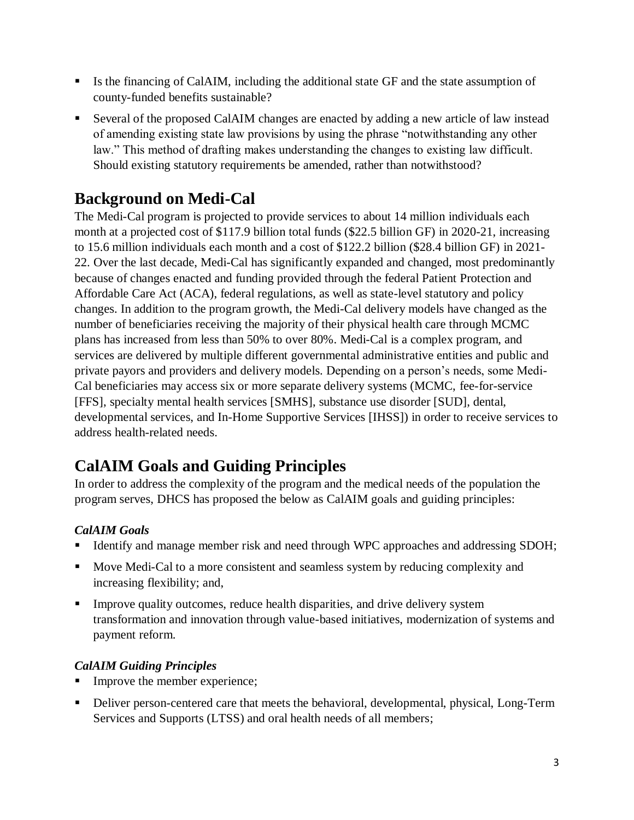- If Its the financing of CalAIM, including the additional state GF and the state assumption of county-funded benefits sustainable?
- Several of the proposed CalAIM changes are enacted by adding a new article of law instead of amending existing state law provisions by using the phrase "notwithstanding any other law." This method of drafting makes understanding the changes to existing law difficult. Should existing statutory requirements be amended, rather than notwithstood?

# **Background on Medi-Cal**

The Medi-Cal program is projected to provide services to about 14 million individuals each month at a projected cost of \$117.9 billion total funds (\$22.5 billion GF) in 2020-21, increasing to 15.6 million individuals each month and a cost of \$122.2 billion (\$28.4 billion GF) in 2021- 22. Over the last decade, Medi-Cal has significantly expanded and changed, most predominantly because of changes enacted and funding provided through the federal Patient Protection and Affordable Care Act (ACA), federal regulations, as well as state-level statutory and policy changes. In addition to the program growth, the Medi-Cal delivery models have changed as the number of beneficiaries receiving the majority of their physical health care through MCMC plans has increased from less than 50% to over 80%. Medi-Cal is a complex program, and services are delivered by multiple different governmental administrative entities and public and private payors and providers and delivery models. Depending on a person's needs, some Medi-Cal beneficiaries may access six or more separate delivery systems (MCMC, fee-for-service [FFS], specialty mental health services [SMHS], substance use disorder [SUD], dental, developmental services, and In-Home Supportive Services [IHSS]) in order to receive services to address health-related needs.

# **CalAIM Goals and Guiding Principles**

In order to address the complexity of the program and the medical needs of the population the program serves, DHCS has proposed the below as CalAIM goals and guiding principles:

### *CalAIM Goals*

- Identify and manage member risk and need through WPC approaches and addressing SDOH;
- Move Medi-Cal to a more consistent and seamless system by reducing complexity and increasing flexibility; and,
- Improve quality outcomes, reduce health disparities, and drive delivery system transformation and innovation through value-based initiatives, modernization of systems and payment reform.

### *CalAIM Guiding Principles*

- Improve the member experience;
- Deliver person-centered care that meets the behavioral, developmental, physical, Long-Term Services and Supports (LTSS) and oral health needs of all members;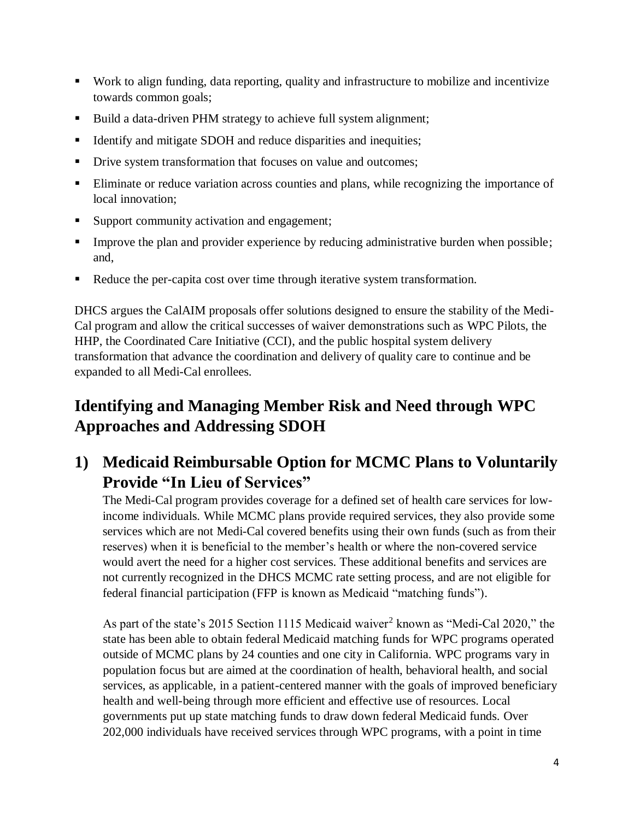- Work to align funding, data reporting, quality and infrastructure to mobilize and incentivize towards common goals;
- Build a data-driven PHM strategy to achieve full system alignment;
- Identify and mitigate SDOH and reduce disparities and inequities;
- Drive system transformation that focuses on value and outcomes;
- Eliminate or reduce variation across counties and plans, while recognizing the importance of local innovation;
- Support community activation and engagement;
- **Improve the plan and provider experience by reducing administrative burden when possible;** and,
- Reduce the per-capita cost over time through iterative system transformation.

DHCS argues the CalAIM proposals offer solutions designed to ensure the stability of the Medi-Cal program and allow the critical successes of waiver demonstrations such as WPC Pilots, the HHP, the Coordinated Care Initiative (CCI), and the public hospital system delivery transformation that advance the coordination and delivery of quality care to continue and be expanded to all Medi-Cal enrollees.

# **Identifying and Managing Member Risk and Need through WPC Approaches and Addressing SDOH**

## **1) Medicaid Reimbursable Option for MCMC Plans to Voluntarily Provide "In Lieu of Services"**

The Medi-Cal program provides coverage for a defined set of health care services for lowincome individuals. While MCMC plans provide required services, they also provide some services which are not Medi-Cal covered benefits using their own funds (such as from their reserves) when it is beneficial to the member's health or where the non-covered service would avert the need for a higher cost services. These additional benefits and services are not currently recognized in the DHCS MCMC rate setting process, and are not eligible for federal financial participation (FFP is known as Medicaid "matching funds").

As part of the state's 2015 Section 1115 Medicaid waiver<sup>2</sup> known as "Medi-Cal 2020," the state has been able to obtain federal Medicaid matching funds for WPC programs operated outside of MCMC plans by 24 counties and one city in California. WPC programs vary in population focus but are aimed at the coordination of health, behavioral health, and social services, as applicable, in a patient-centered manner with the goals of improved beneficiary health and well-being through more efficient and effective use of resources. Local governments put up state matching funds to draw down federal Medicaid funds. Over 202,000 individuals have received services through WPC programs, with a point in time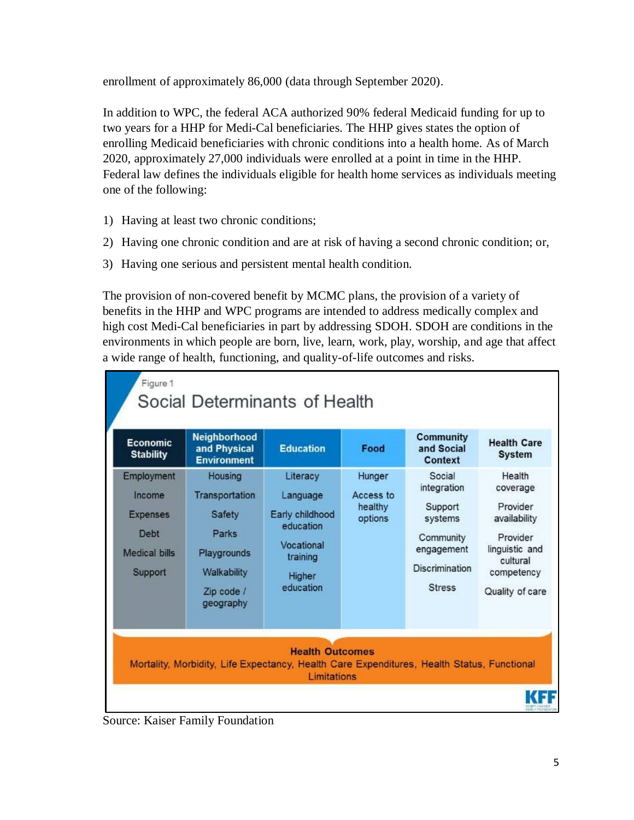enrollment of approximately 86,000 (data through September 2020).

In addition to WPC, the federal ACA authorized 90% federal Medicaid funding for up to two years for a HHP for Medi-Cal beneficiaries. The HHP gives states the option of enrolling Medicaid beneficiaries with chronic conditions into a health home. As of March 2020, approximately 27,000 individuals were enrolled at a point in time in the HHP. Federal law defines the individuals eligible for health home services as individuals meeting one of the following:

- 1) Having at least two chronic conditions;
- 2) Having one chronic condition and are at risk of having a second chronic condition; or,
- 3) Having one serious and persistent mental health condition.

The provision of non-covered benefit by MCMC plans, the provision of a variety of benefits in the HHP and WPC programs are intended to address medically complex and high cost Medi-Cal beneficiaries in part by addressing SDOH. SDOH are conditions in the environments in which people are born, live, learn, work, play, worship, and age that affect a wide range of health, functioning, and quality-of-life outcomes and risks.

| <b>Economic</b><br><b>Stability</b>                                         | Neighborhood<br>and Physical<br><b>Environment</b>                                                    | <b>Education</b>                                                                                      | Food                                      | <b>Community</b><br>and Social<br>Context                                                                 | <b>Health Care</b><br><b>System</b>                                                                                       |
|-----------------------------------------------------------------------------|-------------------------------------------------------------------------------------------------------|-------------------------------------------------------------------------------------------------------|-------------------------------------------|-----------------------------------------------------------------------------------------------------------|---------------------------------------------------------------------------------------------------------------------------|
| Employment<br>Income<br><b>Expenses</b><br>Debt<br>Medical bills<br>Support | Housing<br>Transportation<br>Safety<br>Parks<br>Playgrounds<br>Walkability<br>Zip code /<br>geography | Literacy<br>Language<br>Early childhood<br>education<br>Vocational<br>training<br>Higher<br>education | Hunger<br>Access to<br>healthy<br>options | Social<br>integration<br>Support<br>systems<br>Community<br>engagement<br>Discrimination<br><b>Stress</b> | Health<br>coverage<br>Provider<br>availability<br>Provider<br>linguistic and<br>cultural<br>competency<br>Quality of care |

Source: Kaiser Family Foundation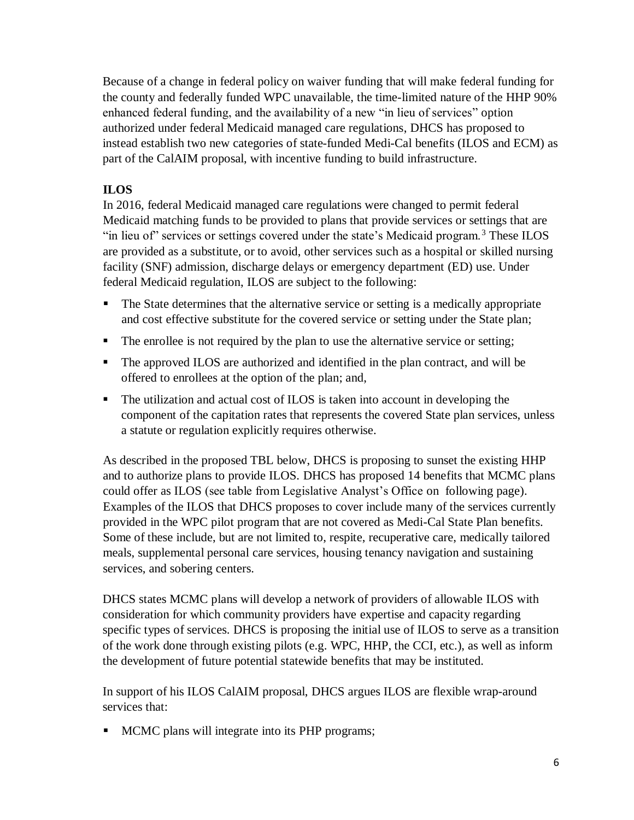Because of a change in federal policy on waiver funding that will make federal funding for the county and federally funded WPC unavailable, the time-limited nature of the HHP 90% enhanced federal funding, and the availability of a new "in lieu of services" option authorized under federal Medicaid managed care regulations, DHCS has proposed to instead establish two new categories of state-funded Medi-Cal benefits (ILOS and ECM) as part of the CalAIM proposal, with incentive funding to build infrastructure.

### **ILOS**

In 2016, federal Medicaid managed care regulations were changed to permit federal Medicaid matching funds to be provided to plans that provide services or settings that are "in lieu of" services or settings covered under the state's Medicaid program.<sup>3</sup> These ILOS are provided as a substitute, or to avoid, other services such as a hospital or skilled nursing facility (SNF) admission, discharge delays or emergency department (ED) use. Under federal Medicaid regulation, ILOS are subject to the following:

- The State determines that the alternative service or setting is a medically appropriate and cost effective substitute for the covered service or setting under the State plan;
- The enrollee is not required by the plan to use the alternative service or setting;
- The approved ILOS are authorized and identified in the plan contract, and will be offered to enrollees at the option of the plan; and,
- The utilization and actual cost of ILOS is taken into account in developing the component of the capitation rates that represents the covered State plan services, unless a statute or regulation explicitly requires otherwise.

As described in the proposed TBL below, DHCS is proposing to sunset the existing HHP and to authorize plans to provide ILOS. DHCS has proposed 14 benefits that MCMC plans could offer as ILOS (see table from Legislative Analyst's Office on following page). Examples of the ILOS that DHCS proposes to cover include many of the services currently provided in the WPC pilot program that are not covered as Medi-Cal State Plan benefits. Some of these include, but are not limited to, respite, recuperative care, medically tailored meals, supplemental personal care services, housing tenancy navigation and sustaining services, and sobering centers.

DHCS states MCMC plans will develop a network of providers of allowable ILOS with consideration for which community providers have expertise and capacity regarding specific types of services. DHCS is proposing the initial use of ILOS to serve as a transition of the work done through existing pilots (e.g. WPC, HHP, the CCI, etc.), as well as inform the development of future potential statewide benefits that may be instituted.

In support of his ILOS CalAIM proposal, DHCS argues ILOS are flexible wrap-around services that:

**MCMC** plans will integrate into its PHP programs;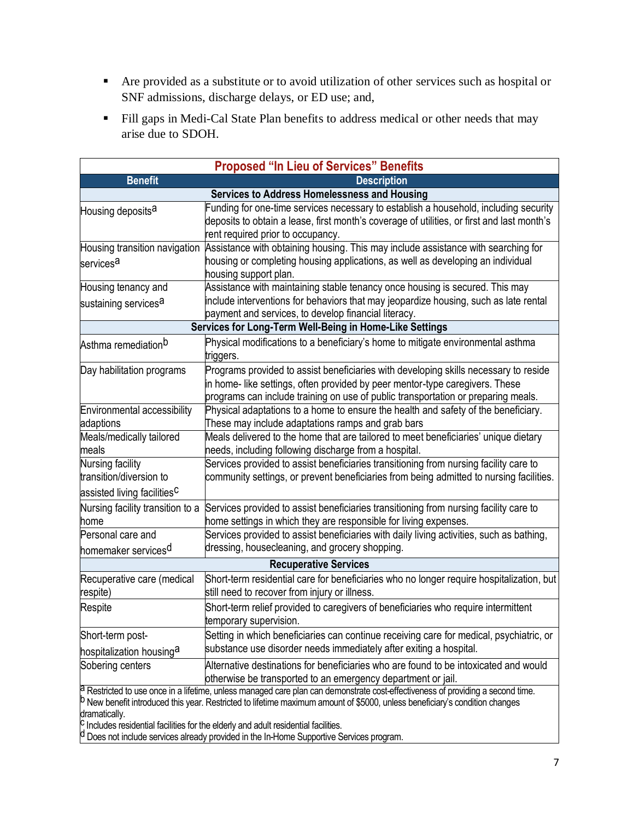- Are provided as a substitute or to avoid utilization of other services such as hospital or SNF admissions, discharge delays, or ED use; and,
- Fill gaps in Medi-Cal State Plan benefits to address medical or other needs that may arise due to SDOH.

|                                                                                        | <b>Proposed "In Lieu of Services" Benefits</b>                                                                                                                                                                                                                                                                                                                              |
|----------------------------------------------------------------------------------------|-----------------------------------------------------------------------------------------------------------------------------------------------------------------------------------------------------------------------------------------------------------------------------------------------------------------------------------------------------------------------------|
| <b>Benefit</b>                                                                         | <b>Description</b>                                                                                                                                                                                                                                                                                                                                                          |
|                                                                                        | <b>Services to Address Homelessness and Housing</b>                                                                                                                                                                                                                                                                                                                         |
| Housing deposits <sup>a</sup>                                                          | Funding for one-time services necessary to establish a household, including security<br>deposits to obtain a lease, first month's coverage of utilities, or first and last month's<br>rent required prior to occupancy.                                                                                                                                                     |
| Housing transition navigation                                                          | Assistance with obtaining housing. This may include assistance with searching for                                                                                                                                                                                                                                                                                           |
| services <sup>a</sup>                                                                  | housing or completing housing applications, as well as developing an individual<br>housing support plan.                                                                                                                                                                                                                                                                    |
| Housing tenancy and                                                                    | Assistance with maintaining stable tenancy once housing is secured. This may                                                                                                                                                                                                                                                                                                |
| sustaining services <sup>a</sup>                                                       | include interventions for behaviors that may jeopardize housing, such as late rental<br>payment and services, to develop financial literacy.                                                                                                                                                                                                                                |
|                                                                                        | Services for Long-Term Well-Being in Home-Like Settings                                                                                                                                                                                                                                                                                                                     |
| Asthma remediation <sup>b</sup>                                                        | Physical modifications to a beneficiary's home to mitigate environmental asthma<br>triggers.                                                                                                                                                                                                                                                                                |
| Day habilitation programs                                                              | Programs provided to assist beneficiaries with developing skills necessary to reside<br>in home- like settings, often provided by peer mentor-type caregivers. These<br>programs can include training on use of public transportation or preparing meals.                                                                                                                   |
| Environmental accessibility<br>adaptions                                               | Physical adaptations to a home to ensure the health and safety of the beneficiary.<br>These may include adaptations ramps and grab bars                                                                                                                                                                                                                                     |
| Meals/medically tailored<br>meals                                                      | Meals delivered to the home that are tailored to meet beneficiaries' unique dietary<br>needs, including following discharge from a hospital.                                                                                                                                                                                                                                |
| Nursing facility<br>transition/diversion to<br>assisted living facilities <sup>C</sup> | Services provided to assist beneficiaries transitioning from nursing facility care to<br>community settings, or prevent beneficiaries from being admitted to nursing facilities.                                                                                                                                                                                            |
| Nursing facility transition to a<br>home                                               | Services provided to assist beneficiaries transitioning from nursing facility care to<br>home settings in which they are responsible for living expenses.                                                                                                                                                                                                                   |
| Personal care and<br>homemaker services <sup>d</sup>                                   | Services provided to assist beneficiaries with daily living activities, such as bathing,<br>dressing, housecleaning, and grocery shopping.                                                                                                                                                                                                                                  |
|                                                                                        | <b>Recuperative Services</b>                                                                                                                                                                                                                                                                                                                                                |
| Recuperative care (medical<br>respite)                                                 | Short-term residential care for beneficiaries who no longer require hospitalization, but<br>still need to recover from injury or illness.                                                                                                                                                                                                                                   |
| Respite                                                                                | Short-term relief provided to caregivers of beneficiaries who require intermittent<br>temporary supervision.                                                                                                                                                                                                                                                                |
| Short-term post-                                                                       | Setting in which beneficiaries can continue receiving care for medical, psychiatric, or                                                                                                                                                                                                                                                                                     |
| hospitalization housing <sup>a</sup>                                                   | substance use disorder needs immediately after exiting a hospital.                                                                                                                                                                                                                                                                                                          |
| Sobering centers                                                                       | Alternative destinations for beneficiaries who are found to be intoxicated and would<br>otherwise be transported to an emergency department or jail.                                                                                                                                                                                                                        |
| dramatically.                                                                          | a Restricted to use once in a lifetime, unless managed care plan can demonstrate cost-effectiveness of providing a second time.<br><sup>b</sup> New benefit introduced this year. Restricted to lifetime maximum amount of \$5000, unless beneficiary's condition changes<br><sup>C</sup> Includes residential facilities for the elderly and adult residential facilities. |

d Does not include services already provided in the In-Home Supportive Services program.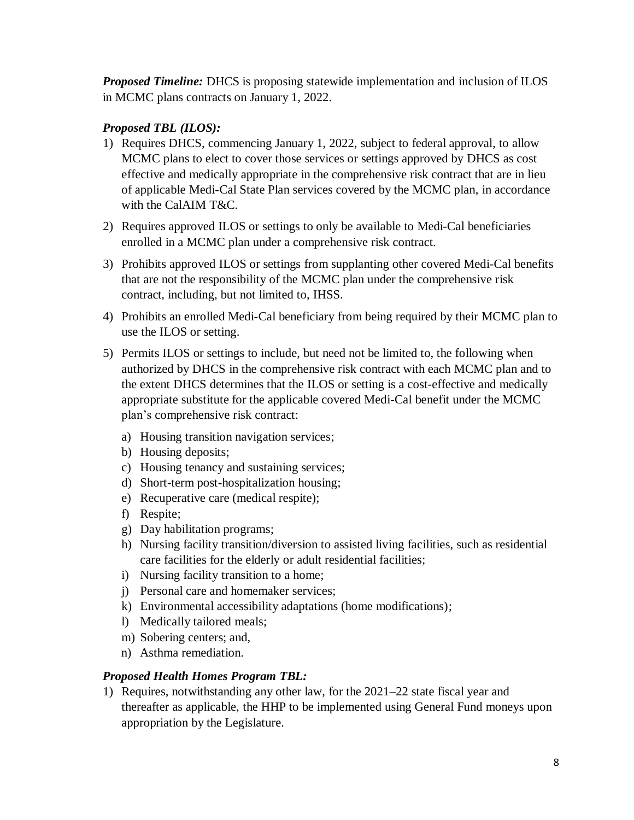*Proposed Timeline:* DHCS is proposing statewide implementation and inclusion of ILOS in MCMC plans contracts on January 1, 2022.

### *Proposed TBL (ILOS):*

- 1) Requires DHCS, commencing January 1, 2022, subject to federal approval, to allow MCMC plans to elect to cover those services or settings approved by DHCS as cost effective and medically appropriate in the comprehensive risk contract that are in lieu of applicable Medi-Cal State Plan services covered by the MCMC plan, in accordance with the CalAIM T&C.
- 2) Requires approved ILOS or settings to only be available to Medi-Cal beneficiaries enrolled in a MCMC plan under a comprehensive risk contract.
- 3) Prohibits approved ILOS or settings from supplanting other covered Medi-Cal benefits that are not the responsibility of the MCMC plan under the comprehensive risk contract, including, but not limited to, IHSS.
- 4) Prohibits an enrolled Medi-Cal beneficiary from being required by their MCMC plan to use the ILOS or setting.
- 5) Permits ILOS or settings to include, but need not be limited to, the following when authorized by DHCS in the comprehensive risk contract with each MCMC plan and to the extent DHCS determines that the ILOS or setting is a cost-effective and medically appropriate substitute for the applicable covered Medi-Cal benefit under the MCMC plan's comprehensive risk contract:
	- a) Housing transition navigation services;
	- b) Housing deposits;
	- c) Housing tenancy and sustaining services;
	- d) Short-term post-hospitalization housing;
	- e) Recuperative care (medical respite);
	- f) Respite;
	- g) Day habilitation programs;
	- h) Nursing facility transition/diversion to assisted living facilities, such as residential care facilities for the elderly or adult residential facilities;
	- i) Nursing facility transition to a home;
	- j) Personal care and homemaker services;
	- k) Environmental accessibility adaptations (home modifications);
	- l) Medically tailored meals;
	- m) Sobering centers; and,
	- n) Asthma remediation.

#### *Proposed Health Homes Program TBL:*

1) Requires, notwithstanding any other law, for the 2021–22 state fiscal year and thereafter as applicable, the HHP to be implemented using General Fund moneys upon appropriation by the Legislature.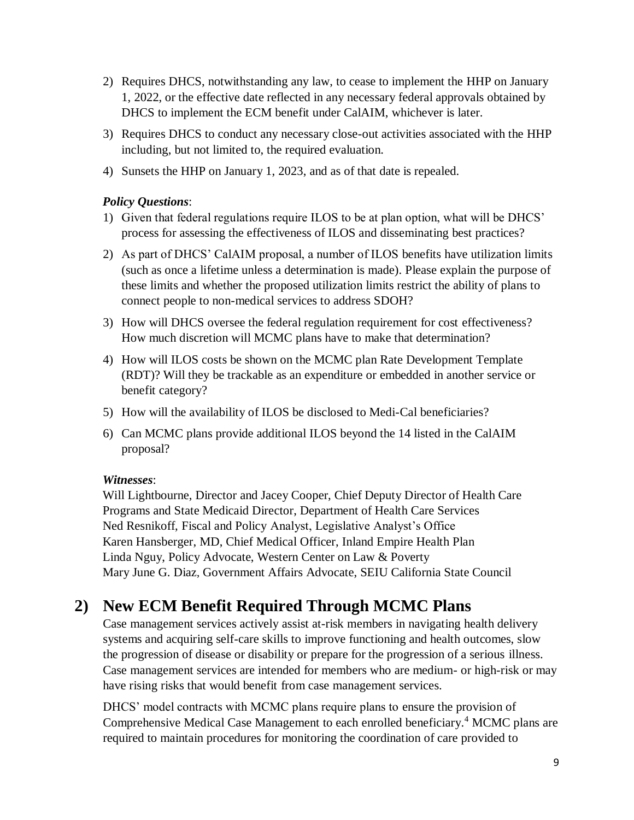- 2) Requires DHCS, notwithstanding any law, to cease to implement the HHP on January 1, 2022, or the effective date reflected in any necessary federal approvals obtained by DHCS to implement the ECM benefit under CalAIM, whichever is later.
- 3) Requires DHCS to conduct any necessary close-out activities associated with the HHP including, but not limited to, the required evaluation.
- 4) Sunsets the HHP on January 1, 2023, and as of that date is repealed.

#### *Policy Questions*:

- 1) Given that federal regulations require ILOS to be at plan option, what will be DHCS' process for assessing the effectiveness of ILOS and disseminating best practices?
- 2) As part of DHCS' CalAIM proposal, a number of ILOS benefits have utilization limits (such as once a lifetime unless a determination is made). Please explain the purpose of these limits and whether the proposed utilization limits restrict the ability of plans to connect people to non-medical services to address SDOH?
- 3) How will DHCS oversee the federal regulation requirement for cost effectiveness? How much discretion will MCMC plans have to make that determination?
- 4) How will ILOS costs be shown on the MCMC plan Rate Development Template (RDT)? Will they be trackable as an expenditure or embedded in another service or benefit category?
- 5) How will the availability of ILOS be disclosed to Medi-Cal beneficiaries?
- 6) Can MCMC plans provide additional ILOS beyond the 14 listed in the CalAIM proposal?

#### *Witnesses*:

Will Lightbourne, Director and Jacey Cooper, Chief Deputy Director of Health Care Programs and State Medicaid Director, Department of Health Care Services Ned Resnikoff, Fiscal and Policy Analyst, Legislative Analyst's Office Karen Hansberger, MD, Chief Medical Officer, Inland Empire Health Plan Linda Nguy, Policy Advocate, Western Center on Law & Poverty Mary June G. Diaz, Government Affairs Advocate, SEIU California State Council

# **2) New ECM Benefit Required Through MCMC Plans**

Case management services actively assist at-risk members in navigating health delivery systems and acquiring self-care skills to improve functioning and health outcomes, slow the progression of disease or disability or prepare for the progression of a serious illness. Case management services are intended for members who are medium- or high-risk or may have rising risks that would benefit from case management services.

DHCS' model contracts with MCMC plans require plans to ensure the provision of Comprehensive Medical Case Management to each enrolled beneficiary. <sup>4</sup> MCMC plans are required to maintain procedures for monitoring the coordination of care provided to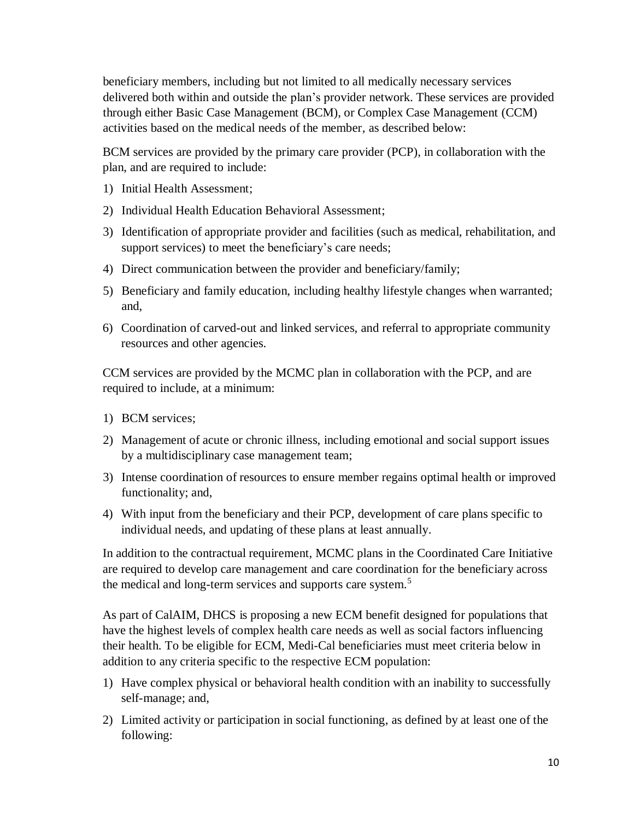beneficiary members, including but not limited to all medically necessary services delivered both within and outside the plan's provider network. These services are provided through either Basic Case Management (BCM), or Complex Case Management (CCM) activities based on the medical needs of the member, as described below:

BCM services are provided by the primary care provider (PCP), in collaboration with the plan, and are required to include:

- 1) Initial Health Assessment;
- 2) Individual Health Education Behavioral Assessment;
- 3) Identification of appropriate provider and facilities (such as medical, rehabilitation, and support services) to meet the beneficiary's care needs;
- 4) Direct communication between the provider and beneficiary/family;
- 5) Beneficiary and family education, including healthy lifestyle changes when warranted; and,
- 6) Coordination of carved-out and linked services, and referral to appropriate community resources and other agencies.

CCM services are provided by the MCMC plan in collaboration with the PCP, and are required to include, at a minimum:

- 1) BCM services;
- 2) Management of acute or chronic illness, including emotional and social support issues by a multidisciplinary case management team;
- 3) Intense coordination of resources to ensure member regains optimal health or improved functionality; and,
- 4) With input from the beneficiary and their PCP, development of care plans specific to individual needs, and updating of these plans at least annually.

In addition to the contractual requirement, MCMC plans in the Coordinated Care Initiative are required to develop care management and care coordination for the beneficiary across the medical and long-term services and supports care system.<sup>5</sup>

As part of CalAIM, DHCS is proposing a new ECM benefit designed for populations that have the highest levels of complex health care needs as well as social factors influencing their health. To be eligible for ECM, Medi-Cal beneficiaries must meet criteria below in addition to any criteria specific to the respective ECM population:

- 1) Have complex physical or behavioral health condition with an inability to successfully self-manage; and,
- 2) Limited activity or participation in social functioning, as defined by at least one of the following: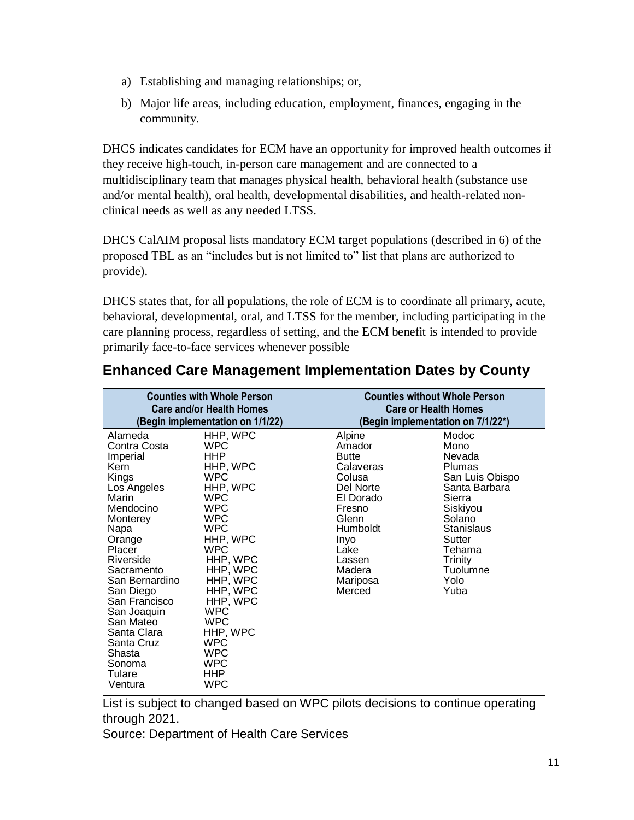- a) Establishing and managing relationships; or,
- b) Major life areas, including education, employment, finances, engaging in the community.

DHCS indicates candidates for ECM have an opportunity for improved health outcomes if they receive high-touch, in-person care management and are connected to a multidisciplinary team that manages physical health, behavioral health (substance use and/or mental health), oral health, developmental disabilities, and health-related nonclinical needs as well as any needed LTSS.

DHCS CalAIM proposal lists mandatory ECM target populations (described in 6) of the proposed TBL as an "includes but is not limited to" list that plans are authorized to provide).

DHCS states that, for all populations, the role of ECM is to coordinate all primary, acute, behavioral, developmental, oral, and LTSS for the member, including participating in the care planning process, regardless of setting, and the ECM benefit is intended to provide primarily face-to-face services whenever possible

|                                                                                                                                                                                                                                                                                                                | <b>Counties with Whole Person</b><br><b>Care and/or Health Homes</b><br>(Begin implementation on 1/1/22)                                                                                                                                                                                                                  | <b>Counties without Whole Person</b><br><b>Care or Health Homes</b>                                                                                                               | (Begin implementation on 7/1/22*)                                                                                                                                                            |
|----------------------------------------------------------------------------------------------------------------------------------------------------------------------------------------------------------------------------------------------------------------------------------------------------------------|---------------------------------------------------------------------------------------------------------------------------------------------------------------------------------------------------------------------------------------------------------------------------------------------------------------------------|-----------------------------------------------------------------------------------------------------------------------------------------------------------------------------------|----------------------------------------------------------------------------------------------------------------------------------------------------------------------------------------------|
| Alameda<br>Contra Costa<br>Imperial<br>Kern<br>Kings<br>Los Angeles<br>Marin<br>Mendocino<br>Monterey<br>Napa<br>Orange<br>Placer<br>Riverside<br>Sacramento<br>San Bernardino<br>San Diego<br>San Francisco<br>San Joaquin<br>San Mateo<br>Santa Clara<br>Santa Cruz<br>Shasta<br>Sonoma<br>Tulare<br>Ventura | HHP, WPC<br><b>WPC</b><br>HHP.<br>HHP, WPC<br><b>WPC</b><br>HHP, WPC<br><b>WPC</b><br><b>WPC</b><br><b>WPC</b><br><b>WPC</b><br>HHP, WPC<br><b>WPC</b><br>HHP, WPC<br>HHP, WPC<br>HHP, WPC<br>HHP, WPC<br>HHP, WPC<br><b>WPC</b><br><b>WPC</b><br>HHP, WPC<br><b>WPC</b><br><b>WPC</b><br><b>WPC</b><br>HHP<br><b>WPC</b> | Alpine<br>Amador<br><b>Butte</b><br>Calaveras<br>Colusa<br>Del Norte<br>El Dorado<br>Fresno<br>Glenn<br><b>Humboldt</b><br>Inyo<br>Lake<br>Lassen<br>Madera<br>Mariposa<br>Merced | Modoc<br>Mono<br>Nevada<br><b>Plumas</b><br>San Luis Obispo<br>Santa Barbara<br>Sierra<br>Siskiyou<br>Solano<br>Stanislaus<br>Sutter<br>Tehama<br><b>Trinity</b><br>Tuolumne<br>Yolo<br>Yuba |

### **Enhanced Care Management Implementation Dates by County**

List is subject to changed based on WPC pilots decisions to continue operating through 2021.

Source: Department of Health Care Services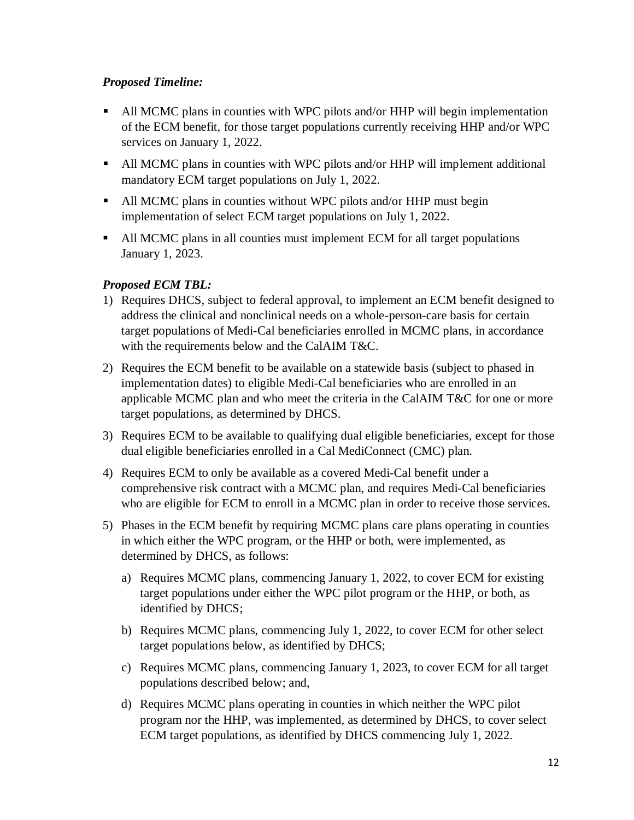#### *Proposed Timeline:*

- All MCMC plans in counties with WPC pilots and/or HHP will begin implementation of the ECM benefit, for those target populations currently receiving HHP and/or WPC services on January 1, 2022.
- All MCMC plans in counties with WPC pilots and/or HHP will implement additional mandatory ECM target populations on July 1, 2022.
- All MCMC plans in counties without WPC pilots and/or HHP must begin implementation of select ECM target populations on July 1, 2022.
- All MCMC plans in all counties must implement ECM for all target populations January 1, 2023.

#### *Proposed ECM TBL:*

- 1) Requires DHCS, subject to federal approval, to implement an ECM benefit designed to address the clinical and nonclinical needs on a whole-person-care basis for certain target populations of Medi-Cal beneficiaries enrolled in MCMC plans, in accordance with the requirements below and the CalAIM T&C.
- 2) Requires the ECM benefit to be available on a statewide basis (subject to phased in implementation dates) to eligible Medi-Cal beneficiaries who are enrolled in an applicable MCMC plan and who meet the criteria in the CalAIM T&C for one or more target populations, as determined by DHCS.
- 3) Requires ECM to be available to qualifying dual eligible beneficiaries, except for those dual eligible beneficiaries enrolled in a Cal MediConnect (CMC) plan.
- 4) Requires ECM to only be available as a covered Medi-Cal benefit under a comprehensive risk contract with a MCMC plan, and requires Medi-Cal beneficiaries who are eligible for ECM to enroll in a MCMC plan in order to receive those services.
- 5) Phases in the ECM benefit by requiring MCMC plans care plans operating in counties in which either the WPC program, or the HHP or both, were implemented, as determined by DHCS, as follows:
	- a) Requires MCMC plans, commencing January 1, 2022, to cover ECM for existing target populations under either the WPC pilot program or the HHP, or both, as identified by DHCS;
	- b) Requires MCMC plans, commencing July 1, 2022, to cover ECM for other select target populations below, as identified by DHCS;
	- c) Requires MCMC plans, commencing January 1, 2023, to cover ECM for all target populations described below; and,
	- d) Requires MCMC plans operating in counties in which neither the WPC pilot program nor the HHP, was implemented, as determined by DHCS, to cover select ECM target populations, as identified by DHCS commencing July 1, 2022.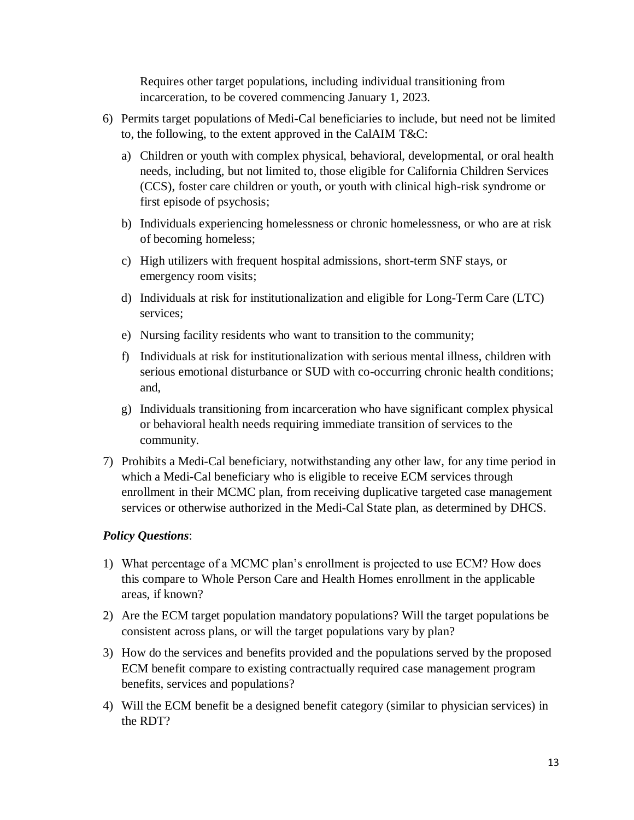Requires other target populations, including individual transitioning from incarceration, to be covered commencing January 1, 2023.

- 6) Permits target populations of Medi-Cal beneficiaries to include, but need not be limited to, the following, to the extent approved in the CalAIM T&C:
	- a) Children or youth with complex physical, behavioral, developmental, or oral health needs, including, but not limited to, those eligible for California Children Services (CCS), foster care children or youth, or youth with clinical high-risk syndrome or first episode of psychosis;
	- b) Individuals experiencing homelessness or chronic homelessness, or who are at risk of becoming homeless;
	- c) High utilizers with frequent hospital admissions, short-term SNF stays, or emergency room visits;
	- d) Individuals at risk for institutionalization and eligible for Long-Term Care (LTC) services;
	- e) Nursing facility residents who want to transition to the community;
	- f) Individuals at risk for institutionalization with serious mental illness, children with serious emotional disturbance or SUD with co-occurring chronic health conditions; and,
	- g) Individuals transitioning from incarceration who have significant complex physical or behavioral health needs requiring immediate transition of services to the community.
- 7) Prohibits a Medi-Cal beneficiary, notwithstanding any other law, for any time period in which a Medi-Cal beneficiary who is eligible to receive ECM services through enrollment in their MCMC plan, from receiving duplicative targeted case management services or otherwise authorized in the Medi-Cal State plan, as determined by DHCS.

#### *Policy Questions*:

- 1) What percentage of a MCMC plan's enrollment is projected to use ECM? How does this compare to Whole Person Care and Health Homes enrollment in the applicable areas, if known?
- 2) Are the ECM target population mandatory populations? Will the target populations be consistent across plans, or will the target populations vary by plan?
- 3) How do the services and benefits provided and the populations served by the proposed ECM benefit compare to existing contractually required case management program benefits, services and populations?
- 4) Will the ECM benefit be a designed benefit category (similar to physician services) in the RDT?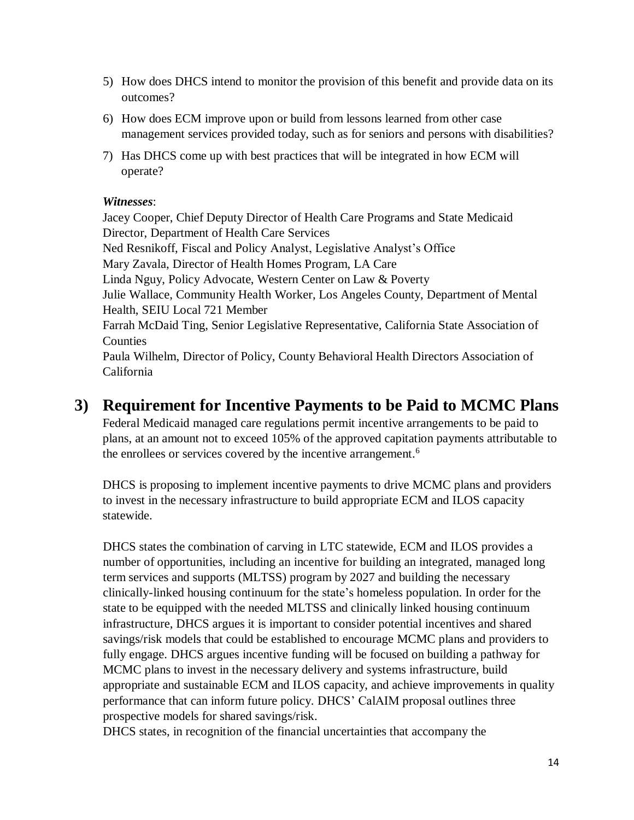- 5) How does DHCS intend to monitor the provision of this benefit and provide data on its outcomes?
- 6) How does ECM improve upon or build from lessons learned from other case management services provided today, such as for seniors and persons with disabilities?
- 7) Has DHCS come up with best practices that will be integrated in how ECM will operate?

#### *Witnesses*:

Jacey Cooper, Chief Deputy Director of Health Care Programs and State Medicaid Director, Department of Health Care Services Ned Resnikoff, Fiscal and Policy Analyst, Legislative Analyst's Office Mary Zavala, Director of Health Homes Program, LA Care Linda Nguy, Policy Advocate, Western Center on Law & Poverty Julie Wallace, Community Health Worker, Los Angeles County, Department of Mental Health, SEIU Local 721 Member Farrah McDaid Ting, Senior Legislative Representative, California State Association of Counties Paula Wilhelm, Director of Policy, County Behavioral Health Directors Association of California

### **3) Requirement for Incentive Payments to be Paid to MCMC Plans**

Federal Medicaid managed care regulations permit incentive arrangements to be paid to plans, at an amount not to exceed 105% of the approved capitation payments attributable to the enrollees or services covered by the incentive arrangement.<sup>6</sup>

DHCS is proposing to implement incentive payments to drive MCMC plans and providers to invest in the necessary infrastructure to build appropriate ECM and ILOS capacity statewide.

DHCS states the combination of carving in LTC statewide, ECM and ILOS provides a number of opportunities, including an incentive for building an integrated, managed long term services and supports (MLTSS) program by 2027 and building the necessary clinically-linked housing continuum for the state's homeless population. In order for the state to be equipped with the needed MLTSS and clinically linked housing continuum infrastructure, DHCS argues it is important to consider potential incentives and shared savings/risk models that could be established to encourage MCMC plans and providers to fully engage. DHCS argues incentive funding will be focused on building a pathway for MCMC plans to invest in the necessary delivery and systems infrastructure, build appropriate and sustainable ECM and ILOS capacity, and achieve improvements in quality performance that can inform future policy. DHCS' CalAIM proposal outlines three prospective models for shared savings/risk.

DHCS states, in recognition of the financial uncertainties that accompany the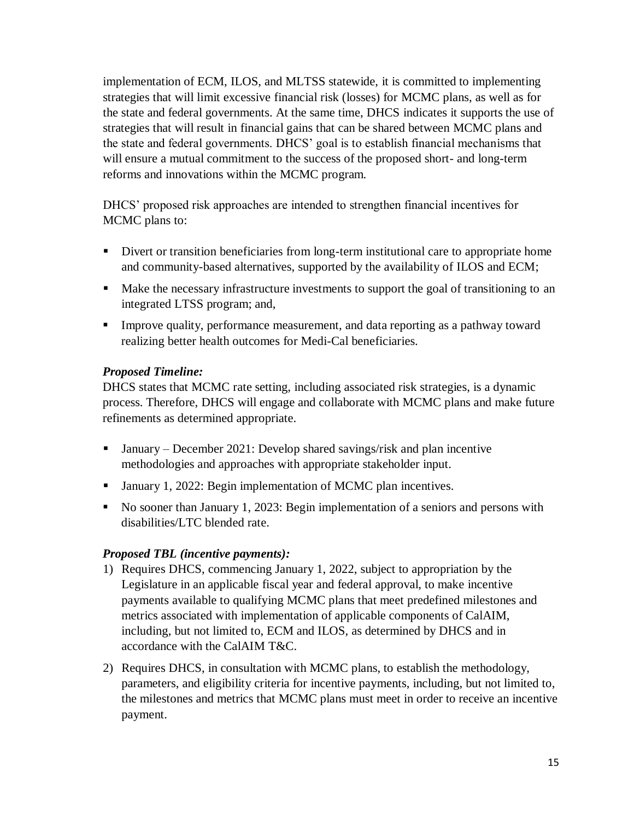implementation of ECM, ILOS, and MLTSS statewide, it is committed to implementing strategies that will limit excessive financial risk (losses) for MCMC plans, as well as for the state and federal governments. At the same time, DHCS indicates it supports the use of strategies that will result in financial gains that can be shared between MCMC plans and the state and federal governments. DHCS' goal is to establish financial mechanisms that will ensure a mutual commitment to the success of the proposed short- and long-term reforms and innovations within the MCMC program.

DHCS' proposed risk approaches are intended to strengthen financial incentives for MCMC plans to:

- Divert or transition beneficiaries from long-term institutional care to appropriate home and community-based alternatives, supported by the availability of ILOS and ECM;
- Make the necessary infrastructure investments to support the goal of transitioning to an integrated LTSS program; and,
- Improve quality, performance measurement, and data reporting as a pathway toward realizing better health outcomes for Medi-Cal beneficiaries.

#### *Proposed Timeline:*

DHCS states that MCMC rate setting, including associated risk strategies, is a dynamic process. Therefore, DHCS will engage and collaborate with MCMC plans and make future refinements as determined appropriate.

- **January** December 2021: Develop shared savings/risk and plan incentive methodologies and approaches with appropriate stakeholder input.
- January 1, 2022: Begin implementation of MCMC plan incentives.
- No sooner than January 1, 2023: Begin implementation of a seniors and persons with disabilities/LTC blended rate.

#### *Proposed TBL (incentive payments):*

- 1) Requires DHCS, commencing January 1, 2022, subject to appropriation by the Legislature in an applicable fiscal year and federal approval, to make incentive payments available to qualifying MCMC plans that meet predefined milestones and metrics associated with implementation of applicable components of CalAIM, including, but not limited to, ECM and ILOS, as determined by DHCS and in accordance with the CalAIM T&C.
- 2) Requires DHCS, in consultation with MCMC plans, to establish the methodology, parameters, and eligibility criteria for incentive payments, including, but not limited to, the milestones and metrics that MCMC plans must meet in order to receive an incentive payment.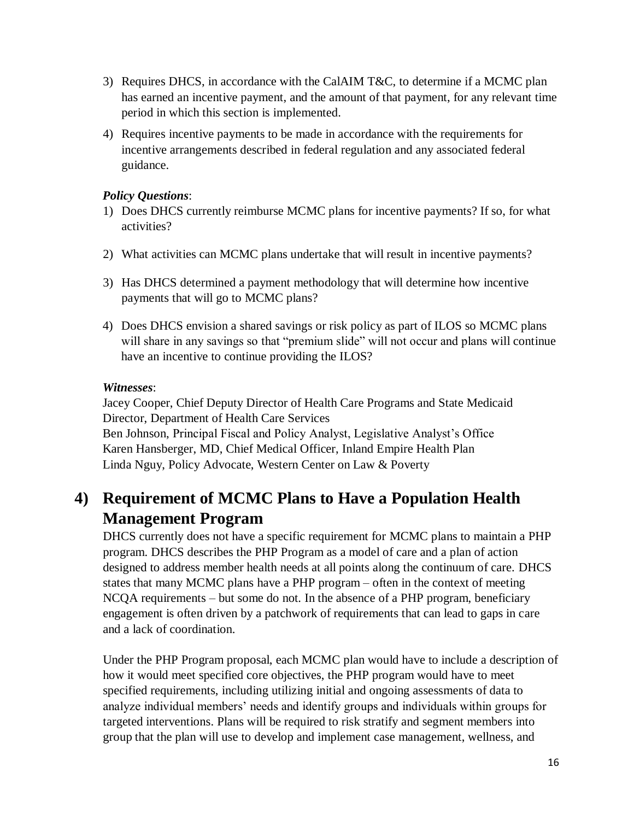- 3) Requires DHCS, in accordance with the CalAIM T&C, to determine if a MCMC plan has earned an incentive payment, and the amount of that payment, for any relevant time period in which this section is implemented.
- 4) Requires incentive payments to be made in accordance with the requirements for incentive arrangements described in federal regulation and any associated federal guidance.

#### *Policy Questions*:

- 1) Does DHCS currently reimburse MCMC plans for incentive payments? If so, for what activities?
- 2) What activities can MCMC plans undertake that will result in incentive payments?
- 3) Has DHCS determined a payment methodology that will determine how incentive payments that will go to MCMC plans?
- 4) Does DHCS envision a shared savings or risk policy as part of ILOS so MCMC plans will share in any savings so that "premium slide" will not occur and plans will continue have an incentive to continue providing the ILOS?

#### *Witnesses*:

Jacey Cooper, Chief Deputy Director of Health Care Programs and State Medicaid Director, Department of Health Care Services Ben Johnson, Principal Fiscal and Policy Analyst, Legislative Analyst's Office Karen Hansberger, MD, Chief Medical Officer, Inland Empire Health Plan Linda Nguy, Policy Advocate, Western Center on Law & Poverty

## **4) Requirement of MCMC Plans to Have a Population Health Management Program**

DHCS currently does not have a specific requirement for MCMC plans to maintain a PHP program. DHCS describes the PHP Program as a model of care and a plan of action designed to address member health needs at all points along the continuum of care. DHCS states that many MCMC plans have a PHP program – often in the context of meeting NCQA requirements – but some do not. In the absence of a PHP program, beneficiary engagement is often driven by a patchwork of requirements that can lead to gaps in care and a lack of coordination.

Under the PHP Program proposal, each MCMC plan would have to include a description of how it would meet specified core objectives, the PHP program would have to meet specified requirements, including utilizing initial and ongoing assessments of data to analyze individual members' needs and identify groups and individuals within groups for targeted interventions. Plans will be required to risk stratify and segment members into group that the plan will use to develop and implement case management, wellness, and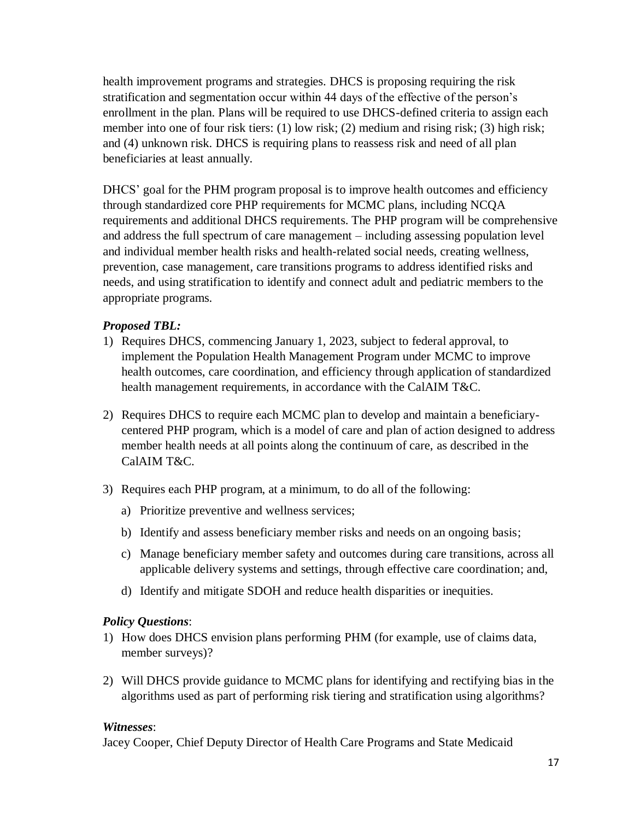health improvement programs and strategies. DHCS is proposing requiring the risk stratification and segmentation occur within 44 days of the effective of the person's enrollment in the plan. Plans will be required to use DHCS-defined criteria to assign each member into one of four risk tiers: (1) low risk; (2) medium and rising risk; (3) high risk; and (4) unknown risk. DHCS is requiring plans to reassess risk and need of all plan beneficiaries at least annually.

DHCS' goal for the PHM program proposal is to improve health outcomes and efficiency through standardized core PHP requirements for MCMC plans, including NCQA requirements and additional DHCS requirements. The PHP program will be comprehensive and address the full spectrum of care management – including assessing population level and individual member health risks and health-related social needs, creating wellness, prevention, case management, care transitions programs to address identified risks and needs, and using stratification to identify and connect adult and pediatric members to the appropriate programs.

#### *Proposed TBL:*

- 1) Requires DHCS, commencing January 1, 2023, subject to federal approval, to implement the Population Health Management Program under MCMC to improve health outcomes, care coordination, and efficiency through application of standardized health management requirements, in accordance with the CalAIM T&C.
- 2) Requires DHCS to require each MCMC plan to develop and maintain a beneficiarycentered PHP program, which is a model of care and plan of action designed to address member health needs at all points along the continuum of care, as described in the CalAIM T&C.
- 3) Requires each PHP program, at a minimum, to do all of the following:
	- a) Prioritize preventive and wellness services;
	- b) Identify and assess beneficiary member risks and needs on an ongoing basis;
	- c) Manage beneficiary member safety and outcomes during care transitions, across all applicable delivery systems and settings, through effective care coordination; and,
	- d) Identify and mitigate SDOH and reduce health disparities or inequities.

#### *Policy Questions*:

- 1) How does DHCS envision plans performing PHM (for example, use of claims data, member surveys)?
- 2) Will DHCS provide guidance to MCMC plans for identifying and rectifying bias in the algorithms used as part of performing risk tiering and stratification using algorithms?

#### *Witnesses*:

Jacey Cooper, Chief Deputy Director of Health Care Programs and State Medicaid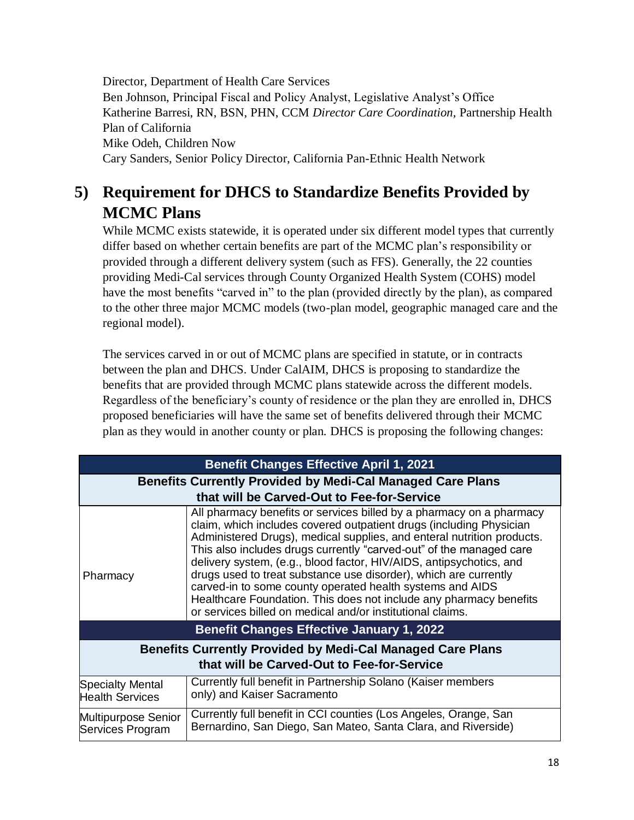Director, Department of Health Care Services Ben Johnson, Principal Fiscal and Policy Analyst, Legislative Analyst's Office Katherine Barresi, RN, BSN, PHN, CCM *Director Care Coordination,* Partnership Health Plan of California Mike Odeh, Children Now Cary Sanders, Senior Policy Director, California Pan-Ethnic Health Network

# **5) Requirement for DHCS to Standardize Benefits Provided by MCMC Plans**

While MCMC exists statewide, it is operated under six different model types that currently differ based on whether certain benefits are part of the MCMC plan's responsibility or provided through a different delivery system (such as FFS). Generally, the 22 counties providing Medi-Cal services through County Organized Health System (COHS) model have the most benefits "carved in" to the plan (provided directly by the plan), as compared to the other three major MCMC models (two-plan model, geographic managed care and the regional model).

The services carved in or out of MCMC plans are specified in statute, or in contracts between the plan and DHCS. Under CalAIM, DHCS is proposing to standardize the benefits that are provided through MCMC plans statewide across the different models. Regardless of the beneficiary's county of residence or the plan they are enrolled in, DHCS proposed beneficiaries will have the same set of benefits delivered through their MCMC plan as they would in another county or plan. DHCS is proposing the following changes:

| <b>Benefit Changes Effective April 1, 2021</b>                                                                  |                                                                                                                                                                                                                                                                                                                                                                                                                                                                                                                                                                                                                                          |  |  |
|-----------------------------------------------------------------------------------------------------------------|------------------------------------------------------------------------------------------------------------------------------------------------------------------------------------------------------------------------------------------------------------------------------------------------------------------------------------------------------------------------------------------------------------------------------------------------------------------------------------------------------------------------------------------------------------------------------------------------------------------------------------------|--|--|
| <b>Benefits Currently Provided by Medi-Cal Managed Care Plans</b><br>that will be Carved-Out to Fee-for-Service |                                                                                                                                                                                                                                                                                                                                                                                                                                                                                                                                                                                                                                          |  |  |
| Pharmacy                                                                                                        | All pharmacy benefits or services billed by a pharmacy on a pharmacy<br>claim, which includes covered outpatient drugs (including Physician<br>Administered Drugs), medical supplies, and enteral nutrition products.<br>This also includes drugs currently "carved-out" of the managed care<br>delivery system, (e.g., blood factor, HIV/AIDS, antipsychotics, and<br>drugs used to treat substance use disorder), which are currently<br>carved-in to some county operated health systems and AIDS<br>Healthcare Foundation. This does not include any pharmacy benefits<br>or services billed on medical and/or institutional claims. |  |  |
| <b>Benefit Changes Effective January 1, 2022</b>                                                                |                                                                                                                                                                                                                                                                                                                                                                                                                                                                                                                                                                                                                                          |  |  |
| <b>Benefits Currently Provided by Medi-Cal Managed Care Plans</b><br>that will be Carved-Out to Fee-for-Service |                                                                                                                                                                                                                                                                                                                                                                                                                                                                                                                                                                                                                                          |  |  |
| <b>Specialty Mental</b><br><b>Health Services</b>                                                               | Currently full benefit in Partnership Solano (Kaiser members<br>only) and Kaiser Sacramento                                                                                                                                                                                                                                                                                                                                                                                                                                                                                                                                              |  |  |
| Multipurpose Senior<br>Services Program                                                                         | Currently full benefit in CCI counties (Los Angeles, Orange, San<br>Bernardino, San Diego, San Mateo, Santa Clara, and Riverside)                                                                                                                                                                                                                                                                                                                                                                                                                                                                                                        |  |  |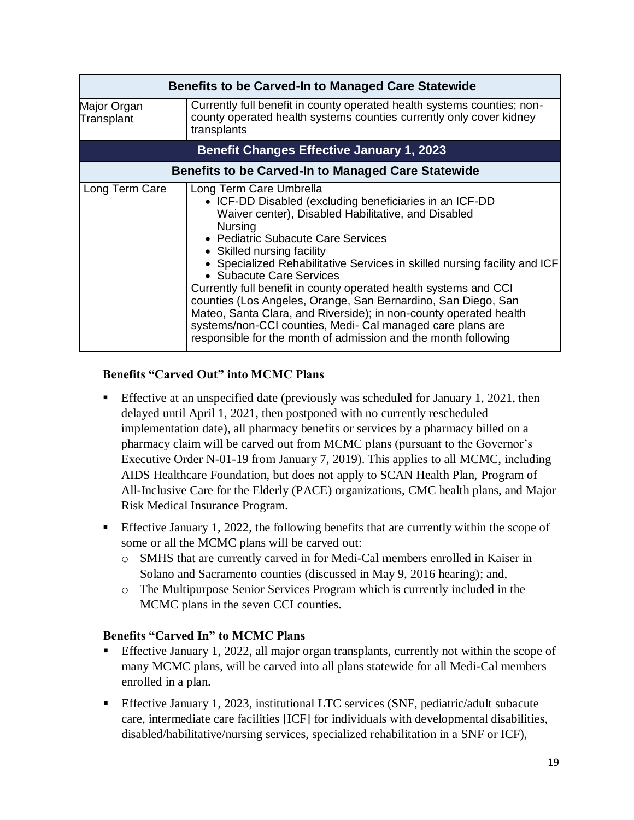|                                                  | <b>Benefits to be Carved-In to Managed Care Statewide</b>                                                                                                                                                                                                                                                                                                                                                                                                                                                                                                                                                                                                                          |  |  |
|--------------------------------------------------|------------------------------------------------------------------------------------------------------------------------------------------------------------------------------------------------------------------------------------------------------------------------------------------------------------------------------------------------------------------------------------------------------------------------------------------------------------------------------------------------------------------------------------------------------------------------------------------------------------------------------------------------------------------------------------|--|--|
| Major Organ<br>Transplant                        | Currently full benefit in county operated health systems counties; non-<br>county operated health systems counties currently only cover kidney<br>transplants                                                                                                                                                                                                                                                                                                                                                                                                                                                                                                                      |  |  |
| <b>Benefit Changes Effective January 1, 2023</b> |                                                                                                                                                                                                                                                                                                                                                                                                                                                                                                                                                                                                                                                                                    |  |  |
|                                                  | <b>Benefits to be Carved-In to Managed Care Statewide</b>                                                                                                                                                                                                                                                                                                                                                                                                                                                                                                                                                                                                                          |  |  |
| Long Term Care                                   | Long Term Care Umbrella<br>• ICF-DD Disabled (excluding beneficiaries in an ICF-DD<br>Waiver center), Disabled Habilitative, and Disabled<br><b>Nursing</b><br>• Pediatric Subacute Care Services<br>• Skilled nursing facility<br>• Specialized Rehabilitative Services in skilled nursing facility and ICF<br>• Subacute Care Services<br>Currently full benefit in county operated health systems and CCI<br>counties (Los Angeles, Orange, San Bernardino, San Diego, San<br>Mateo, Santa Clara, and Riverside); in non-county operated health<br>systems/non-CCI counties, Medi- Cal managed care plans are<br>responsible for the month of admission and the month following |  |  |

#### **Benefits "Carved Out" into MCMC Plans**

- Effective at an unspecified date (previously was scheduled for January 1, 2021, then delayed until April 1, 2021, then postponed with no currently rescheduled implementation date), all pharmacy benefits or services by a pharmacy billed on a pharmacy claim will be carved out from MCMC plans (pursuant to the Governor's Executive Order N-01-19 from January 7, 2019). This applies to all MCMC, including AIDS Healthcare Foundation, but does not apply to SCAN Health Plan, Program of All-Inclusive Care for the Elderly (PACE) organizations, CMC health plans, and Major Risk Medical Insurance Program.
- **Effective January 1, 2022, the following benefits that are currently within the scope of** some or all the MCMC plans will be carved out:
	- o SMHS that are currently carved in for Medi-Cal members enrolled in Kaiser in Solano and Sacramento counties (discussed in May 9, 2016 hearing); and,
	- o The Multipurpose Senior Services Program which is currently included in the MCMC plans in the seven CCI counties.

#### **Benefits "Carved In" to MCMC Plans**

- Effective January 1, 2022, all major organ transplants, currently not within the scope of many MCMC plans, will be carved into all plans statewide for all Medi-Cal members enrolled in a plan.
- Effective January 1, 2023, institutional LTC services (SNF, pediatric/adult subacute care, intermediate care facilities [ICF] for individuals with developmental disabilities, disabled/habilitative/nursing services, specialized rehabilitation in a SNF or ICF),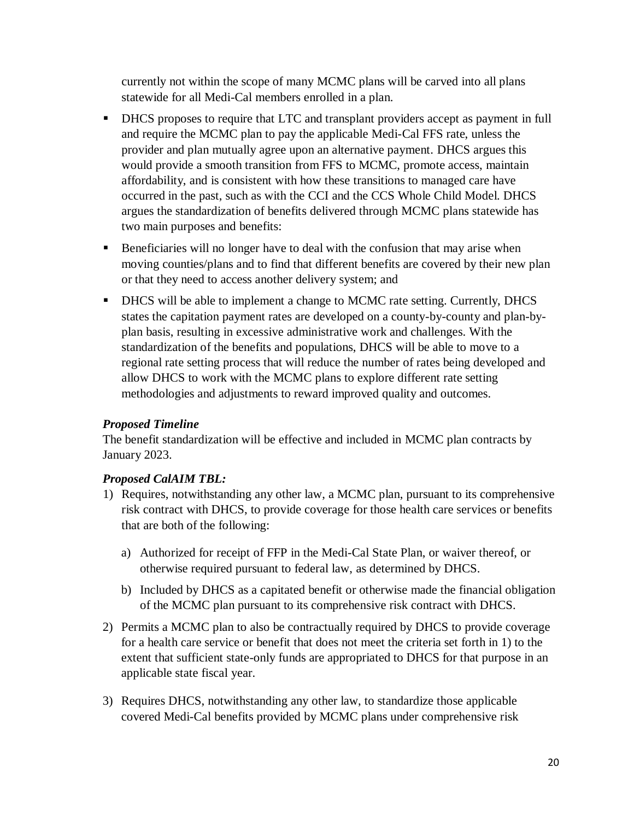currently not within the scope of many MCMC plans will be carved into all plans statewide for all Medi-Cal members enrolled in a plan.

- DHCS proposes to require that LTC and transplant providers accept as payment in full and require the MCMC plan to pay the applicable Medi-Cal FFS rate, unless the provider and plan mutually agree upon an alternative payment. DHCS argues this would provide a smooth transition from FFS to MCMC, promote access, maintain affordability, and is consistent with how these transitions to managed care have occurred in the past, such as with the CCI and the CCS Whole Child Model. DHCS argues the standardization of benefits delivered through MCMC plans statewide has two main purposes and benefits:
- Beneficiaries will no longer have to deal with the confusion that may arise when moving counties/plans and to find that different benefits are covered by their new plan or that they need to access another delivery system; and
- DHCS will be able to implement a change to MCMC rate setting. Currently, DHCS states the capitation payment rates are developed on a county-by-county and plan-byplan basis, resulting in excessive administrative work and challenges. With the standardization of the benefits and populations, DHCS will be able to move to a regional rate setting process that will reduce the number of rates being developed and allow DHCS to work with the MCMC plans to explore different rate setting methodologies and adjustments to reward improved quality and outcomes.

#### *Proposed Timeline*

The benefit standardization will be effective and included in MCMC plan contracts by January 2023.

#### *Proposed CalAIM TBL:*

- 1) Requires, notwithstanding any other law, a MCMC plan, pursuant to its comprehensive risk contract with DHCS, to provide coverage for those health care services or benefits that are both of the following:
	- a) Authorized for receipt of FFP in the Medi-Cal State Plan, or waiver thereof, or otherwise required pursuant to federal law, as determined by DHCS.
	- b) Included by DHCS as a capitated benefit or otherwise made the financial obligation of the MCMC plan pursuant to its comprehensive risk contract with DHCS.
- 2) Permits a MCMC plan to also be contractually required by DHCS to provide coverage for a health care service or benefit that does not meet the criteria set forth in 1) to the extent that sufficient state-only funds are appropriated to DHCS for that purpose in an applicable state fiscal year.
- 3) Requires DHCS, notwithstanding any other law, to standardize those applicable covered Medi-Cal benefits provided by MCMC plans under comprehensive risk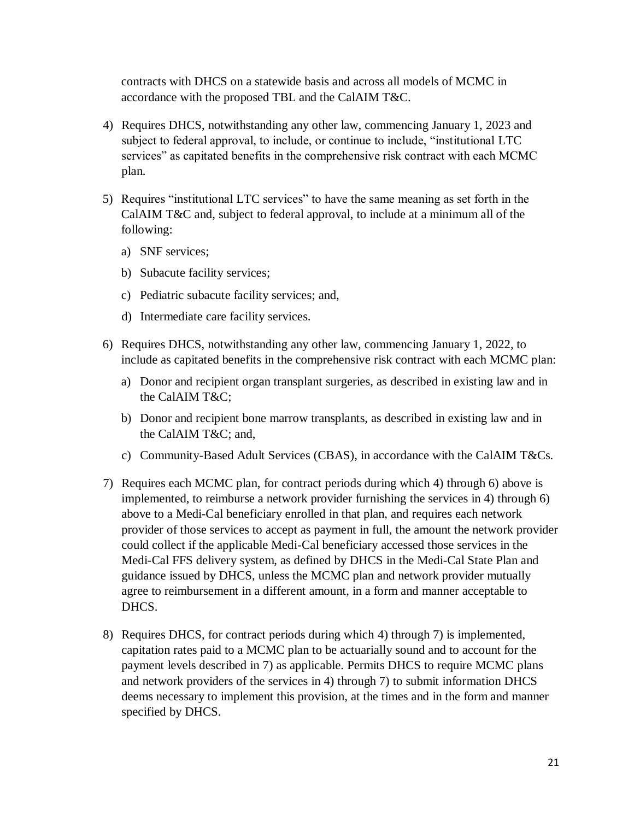contracts with DHCS on a statewide basis and across all models of MCMC in accordance with the proposed TBL and the CalAIM T&C.

- 4) Requires DHCS, notwithstanding any other law, commencing January 1, 2023 and subject to federal approval, to include, or continue to include, "institutional LTC services" as capitated benefits in the comprehensive risk contract with each MCMC plan.
- 5) Requires "institutional LTC services" to have the same meaning as set forth in the CalAIM T&C and, subject to federal approval, to include at a minimum all of the following:
	- a) SNF services;
	- b) Subacute facility services;
	- c) Pediatric subacute facility services; and,
	- d) Intermediate care facility services.
- 6) Requires DHCS, notwithstanding any other law, commencing January 1, 2022, to include as capitated benefits in the comprehensive risk contract with each MCMC plan:
	- a) Donor and recipient organ transplant surgeries, as described in existing law and in the CalAIM T&C;
	- b) Donor and recipient bone marrow transplants, as described in existing law and in the CalAIM T&C; and,
	- c) Community-Based Adult Services (CBAS), in accordance with the CalAIM T&Cs.
- 7) Requires each MCMC plan, for contract periods during which 4) through 6) above is implemented, to reimburse a network provider furnishing the services in 4) through 6) above to a Medi-Cal beneficiary enrolled in that plan, and requires each network provider of those services to accept as payment in full, the amount the network provider could collect if the applicable Medi-Cal beneficiary accessed those services in the Medi-Cal FFS delivery system, as defined by DHCS in the Medi-Cal State Plan and guidance issued by DHCS, unless the MCMC plan and network provider mutually agree to reimbursement in a different amount, in a form and manner acceptable to DHCS.
- 8) Requires DHCS, for contract periods during which 4) through 7) is implemented, capitation rates paid to a MCMC plan to be actuarially sound and to account for the payment levels described in 7) as applicable. Permits DHCS to require MCMC plans and network providers of the services in 4) through 7) to submit information DHCS deems necessary to implement this provision, at the times and in the form and manner specified by DHCS.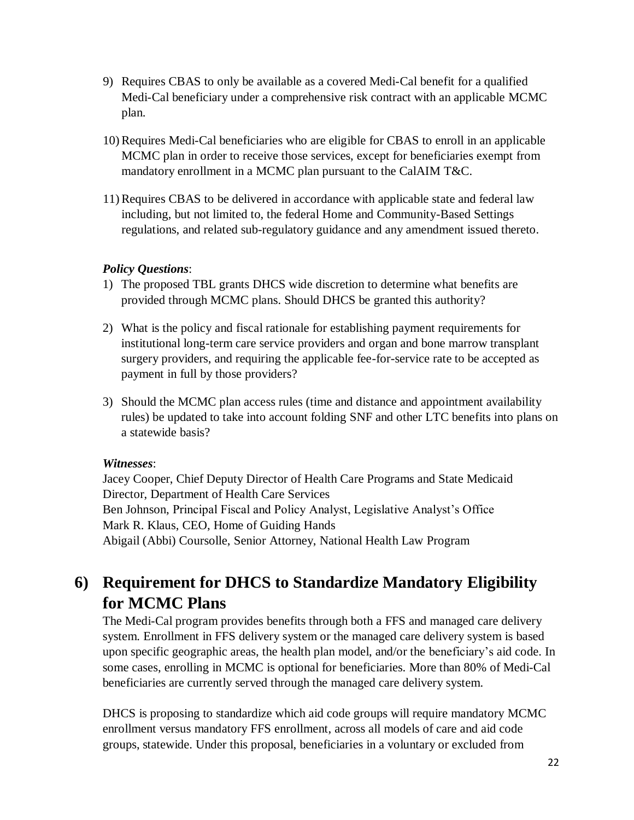- 9) Requires CBAS to only be available as a covered Medi-Cal benefit for a qualified Medi-Cal beneficiary under a comprehensive risk contract with an applicable MCMC plan.
- 10) Requires Medi-Cal beneficiaries who are eligible for CBAS to enroll in an applicable MCMC plan in order to receive those services, except for beneficiaries exempt from mandatory enrollment in a MCMC plan pursuant to the CalAIM T&C.
- 11) Requires CBAS to be delivered in accordance with applicable state and federal law including, but not limited to, the federal Home and Community-Based Settings regulations, and related sub-regulatory guidance and any amendment issued thereto.

#### *Policy Questions*:

- 1) The proposed TBL grants DHCS wide discretion to determine what benefits are provided through MCMC plans. Should DHCS be granted this authority?
- 2) What is the policy and fiscal rationale for establishing payment requirements for institutional long-term care service providers and organ and bone marrow transplant surgery providers, and requiring the applicable fee-for-service rate to be accepted as payment in full by those providers?
- 3) Should the MCMC plan access rules (time and distance and appointment availability rules) be updated to take into account folding SNF and other LTC benefits into plans on a statewide basis?

#### *Witnesses*:

Jacey Cooper, Chief Deputy Director of Health Care Programs and State Medicaid Director, Department of Health Care Services Ben Johnson, Principal Fiscal and Policy Analyst, Legislative Analyst's Office Mark R. Klaus, CEO, Home of Guiding Hands Abigail (Abbi) Coursolle, Senior Attorney, National Health Law Program

## **6) Requirement for DHCS to Standardize Mandatory Eligibility for MCMC Plans**

The Medi-Cal program provides benefits through both a FFS and managed care delivery system. Enrollment in FFS delivery system or the managed care delivery system is based upon specific geographic areas, the health plan model, and/or the beneficiary's aid code. In some cases, enrolling in MCMC is optional for beneficiaries. More than 80% of Medi-Cal beneficiaries are currently served through the managed care delivery system.

DHCS is proposing to standardize which aid code groups will require mandatory MCMC enrollment versus mandatory FFS enrollment, across all models of care and aid code groups, statewide. Under this proposal, beneficiaries in a voluntary or excluded from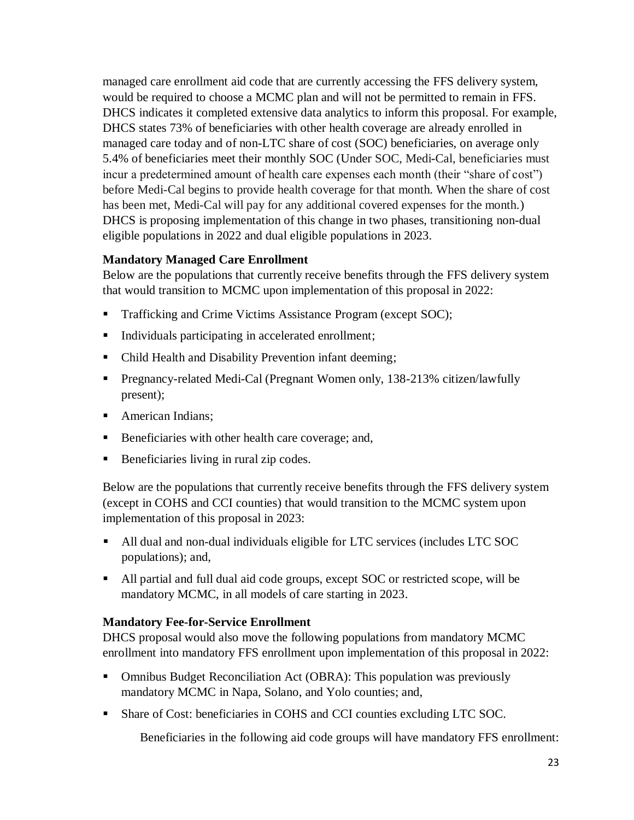managed care enrollment aid code that are currently accessing the FFS delivery system, would be required to choose a MCMC plan and will not be permitted to remain in FFS. DHCS indicates it completed extensive data analytics to inform this proposal. For example, DHCS states 73% of beneficiaries with other health coverage are already enrolled in managed care today and of non-LTC share of cost (SOC) beneficiaries, on average only 5.4% of beneficiaries meet their monthly SOC (Under SOC, Medi**-**Cal, beneficiaries must incur a predetermined amount of health care expenses each month (their "share of cost") before Medi-Cal begins to provide health coverage for that month. When the share of cost has been met, Medi-Cal will pay for any additional covered expenses for the month.) DHCS is proposing implementation of this change in two phases, transitioning non-dual eligible populations in 2022 and dual eligible populations in 2023.

#### **Mandatory Managed Care Enrollment**

Below are the populations that currently receive benefits through the FFS delivery system that would transition to MCMC upon implementation of this proposal in 2022:

- Trafficking and Crime Victims Assistance Program (except SOC);
- Individuals participating in accelerated enrollment;
- Child Health and Disability Prevention infant deeming;
- Pregnancy-related Medi-Cal (Pregnant Women only, 138-213% citizen/lawfully present);
- American Indians;
- Beneficiaries with other health care coverage; and,
- Beneficiaries living in rural zip codes.

Below are the populations that currently receive benefits through the FFS delivery system (except in COHS and CCI counties) that would transition to the MCMC system upon implementation of this proposal in 2023:

- All dual and non-dual individuals eligible for LTC services (includes LTC SOC populations); and,
- All partial and full dual aid code groups, except SOC or restricted scope, will be mandatory MCMC, in all models of care starting in 2023.

#### **Mandatory Fee-for-Service Enrollment**

DHCS proposal would also move the following populations from mandatory MCMC enrollment into mandatory FFS enrollment upon implementation of this proposal in 2022:

- Omnibus Budget Reconciliation Act (OBRA): This population was previously mandatory MCMC in Napa, Solano, and Yolo counties; and,
- Share of Cost: beneficiaries in COHS and CCI counties excluding LTC SOC.

Beneficiaries in the following aid code groups will have mandatory FFS enrollment: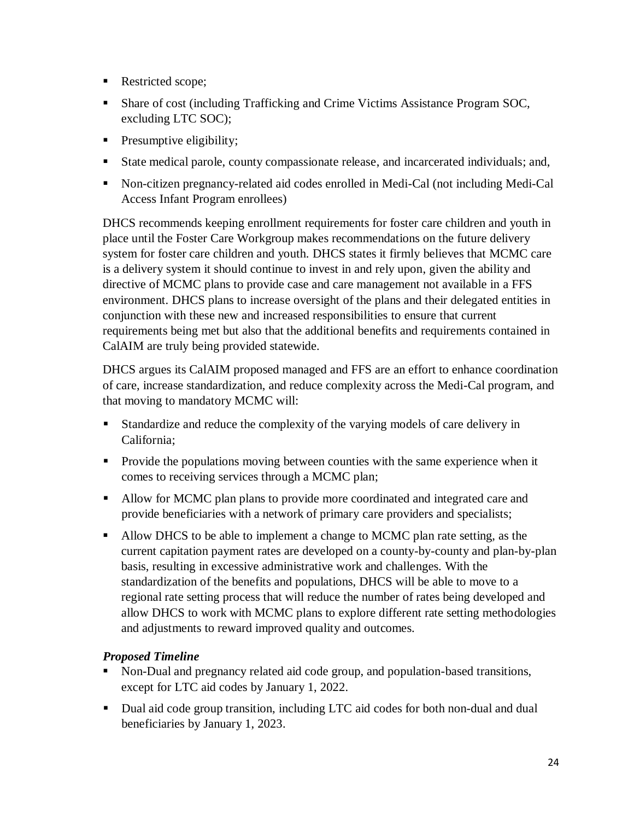- Restricted scope;
- Share of cost (including Trafficking and Crime Victims Assistance Program SOC, excluding LTC SOC);
- **Presumptive eligibility;**
- State medical parole, county compassionate release, and incarcerated individuals; and,
- Non-citizen pregnancy-related aid codes enrolled in Medi-Cal (not including Medi-Cal Access Infant Program enrollees)

DHCS recommends keeping enrollment requirements for foster care children and youth in place until the Foster Care Workgroup makes recommendations on the future delivery system for foster care children and youth. DHCS states it firmly believes that MCMC care is a delivery system it should continue to invest in and rely upon, given the ability and directive of MCMC plans to provide case and care management not available in a FFS environment. DHCS plans to increase oversight of the plans and their delegated entities in conjunction with these new and increased responsibilities to ensure that current requirements being met but also that the additional benefits and requirements contained in CalAIM are truly being provided statewide.

DHCS argues its CalAIM proposed managed and FFS are an effort to enhance coordination of care, increase standardization, and reduce complexity across the Medi-Cal program, and that moving to mandatory MCMC will:

- Standardize and reduce the complexity of the varying models of care delivery in California;
- **Provide the populations moving between counties with the same experience when it** comes to receiving services through a MCMC plan;
- Allow for MCMC plan plans to provide more coordinated and integrated care and provide beneficiaries with a network of primary care providers and specialists;
- Allow DHCS to be able to implement a change to MCMC plan rate setting, as the current capitation payment rates are developed on a county-by-county and plan-by-plan basis, resulting in excessive administrative work and challenges. With the standardization of the benefits and populations, DHCS will be able to move to a regional rate setting process that will reduce the number of rates being developed and allow DHCS to work with MCMC plans to explore different rate setting methodologies and adjustments to reward improved quality and outcomes.

#### *Proposed Timeline*

- Non-Dual and pregnancy related aid code group, and population-based transitions, except for LTC aid codes by January 1, 2022.
- Dual aid code group transition, including LTC aid codes for both non-dual and dual beneficiaries by January 1, 2023.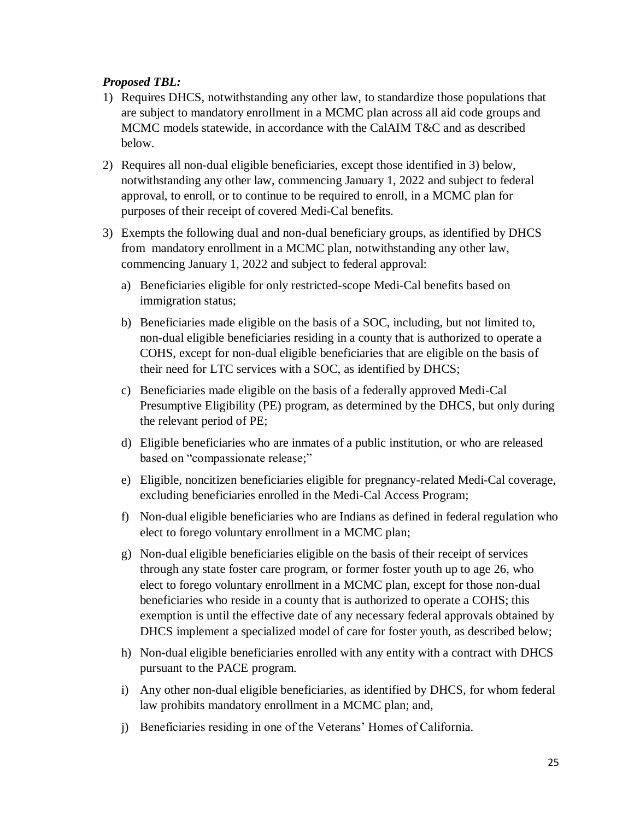#### *Proposed TBL:*

- 1) Requires DHCS, notwithstanding any other law, to standardize those populations that are subject to mandatory enrollment in a MCMC plan across all aid code groups and MCMC models statewide, in accordance with the CalAIM T&C and as described below.
- 2) Requires all non-dual eligible beneficiaries, except those identified in 3) below, notwithstanding any other law, commencing January 1, 2022 and subject to federal approval, to enroll, or to continue to be required to enroll, in a MCMC plan for purposes of their receipt of covered Medi-Cal benefits.
- 3) Exempts the following dual and non-dual beneficiary groups, as identified by DHCS from mandatory enrollment in a MCMC plan, notwithstanding any other law, commencing January 1, 2022 and subject to federal approval:
	- a) Beneficiaries eligible for only restricted-scope Medi-Cal benefits based on immigration status;
	- b) Beneficiaries made eligible on the basis of a SOC, including, but not limited to, non-dual eligible beneficiaries residing in a county that is authorized to operate a COHS, except for non-dual eligible beneficiaries that are eligible on the basis of their need for LTC services with a SOC, as identified by DHCS;
	- c) Beneficiaries made eligible on the basis of a federally approved Medi-Cal Presumptive Eligibility (PE) program, as determined by the DHCS, but only during the relevant period of PE;
	- d) Eligible beneficiaries who are inmates of a public institution, or who are released based on "compassionate release;"
	- e) Eligible, noncitizen beneficiaries eligible for pregnancy-related Medi-Cal coverage, excluding beneficiaries enrolled in the Medi-Cal Access Program;
	- f) Non-dual eligible beneficiaries who are Indians as defined in federal regulation who elect to forego voluntary enrollment in a MCMC plan;
	- g) Non-dual eligible beneficiaries eligible on the basis of their receipt of services through any state foster care program, or former foster youth up to age 26, who elect to forego voluntary enrollment in a MCMC plan, except for those non-dual beneficiaries who reside in a county that is authorized to operate a COHS; this exemption is until the effective date of any necessary federal approvals obtained by DHCS implement a specialized model of care for foster youth, as described below;
	- h) Non-dual eligible beneficiaries enrolled with any entity with a contract with DHCS pursuant to the PACE program.
	- i) Any other non-dual eligible beneficiaries, as identified by DHCS, for whom federal law prohibits mandatory enrollment in a MCMC plan; and,
	- j) Beneficiaries residing in one of the Veterans' Homes of California.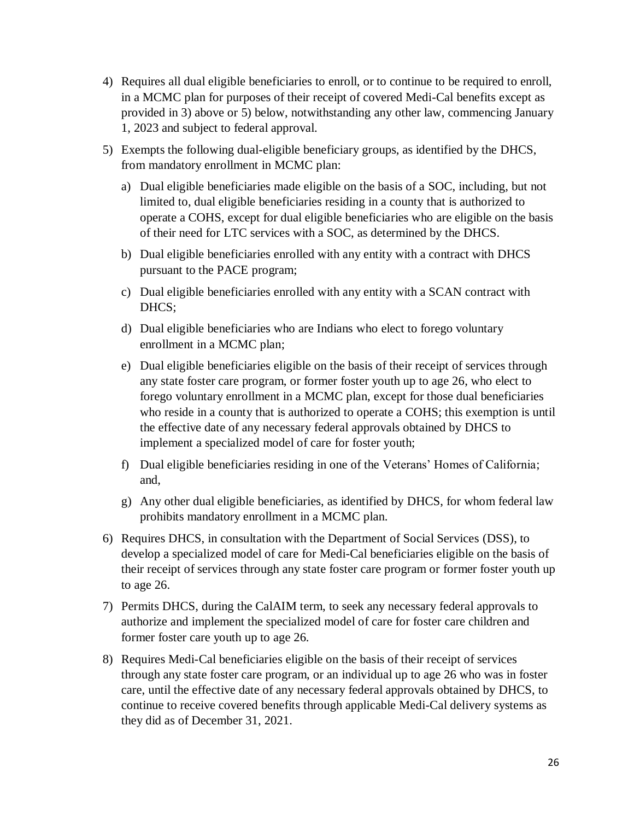- 4) Requires all dual eligible beneficiaries to enroll, or to continue to be required to enroll, in a MCMC plan for purposes of their receipt of covered Medi-Cal benefits except as provided in 3) above or 5) below, notwithstanding any other law, commencing January 1, 2023 and subject to federal approval.
- 5) Exempts the following dual-eligible beneficiary groups, as identified by the DHCS, from mandatory enrollment in MCMC plan:
	- a) Dual eligible beneficiaries made eligible on the basis of a SOC, including, but not limited to, dual eligible beneficiaries residing in a county that is authorized to operate a COHS, except for dual eligible beneficiaries who are eligible on the basis of their need for LTC services with a SOC, as determined by the DHCS.
	- b) Dual eligible beneficiaries enrolled with any entity with a contract with DHCS pursuant to the PACE program;
	- c) Dual eligible beneficiaries enrolled with any entity with a SCAN contract with DHCS;
	- d) Dual eligible beneficiaries who are Indians who elect to forego voluntary enrollment in a MCMC plan;
	- e) Dual eligible beneficiaries eligible on the basis of their receipt of services through any state foster care program, or former foster youth up to age 26, who elect to forego voluntary enrollment in a MCMC plan, except for those dual beneficiaries who reside in a county that is authorized to operate a COHS; this exemption is until the effective date of any necessary federal approvals obtained by DHCS to implement a specialized model of care for foster youth;
	- f) Dual eligible beneficiaries residing in one of the Veterans' Homes of California; and,
	- g) Any other dual eligible beneficiaries, as identified by DHCS, for whom federal law prohibits mandatory enrollment in a MCMC plan.
- 6) Requires DHCS, in consultation with the Department of Social Services (DSS), to develop a specialized model of care for Medi-Cal beneficiaries eligible on the basis of their receipt of services through any state foster care program or former foster youth up to age 26.
- 7) Permits DHCS, during the CalAIM term, to seek any necessary federal approvals to authorize and implement the specialized model of care for foster care children and former foster care youth up to age 26.
- 8) Requires Medi-Cal beneficiaries eligible on the basis of their receipt of services through any state foster care program, or an individual up to age 26 who was in foster care, until the effective date of any necessary federal approvals obtained by DHCS, to continue to receive covered benefits through applicable Medi-Cal delivery systems as they did as of December 31, 2021.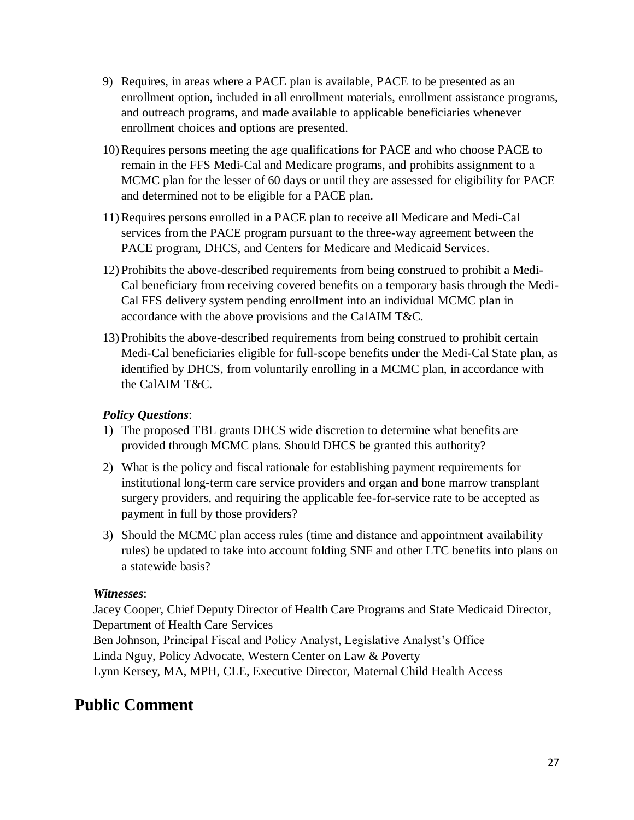- 9) Requires, in areas where a PACE plan is available, PACE to be presented as an enrollment option, included in all enrollment materials, enrollment assistance programs, and outreach programs, and made available to applicable beneficiaries whenever enrollment choices and options are presented.
- 10) Requires persons meeting the age qualifications for PACE and who choose PACE to remain in the FFS Medi-Cal and Medicare programs, and prohibits assignment to a MCMC plan for the lesser of 60 days or until they are assessed for eligibility for PACE and determined not to be eligible for a PACE plan.
- 11) Requires persons enrolled in a PACE plan to receive all Medicare and Medi-Cal services from the PACE program pursuant to the three-way agreement between the PACE program, DHCS, and Centers for Medicare and Medicaid Services.
- 12) Prohibits the above-described requirements from being construed to prohibit a Medi-Cal beneficiary from receiving covered benefits on a temporary basis through the Medi-Cal FFS delivery system pending enrollment into an individual MCMC plan in accordance with the above provisions and the CalAIM T&C.
- 13) Prohibits the above-described requirements from being construed to prohibit certain Medi-Cal beneficiaries eligible for full-scope benefits under the Medi-Cal State plan, as identified by DHCS, from voluntarily enrolling in a MCMC plan, in accordance with the CalAIM T&C.

#### *Policy Questions*:

- 1) The proposed TBL grants DHCS wide discretion to determine what benefits are provided through MCMC plans. Should DHCS be granted this authority?
- 2) What is the policy and fiscal rationale for establishing payment requirements for institutional long-term care service providers and organ and bone marrow transplant surgery providers, and requiring the applicable fee-for-service rate to be accepted as payment in full by those providers?
- 3) Should the MCMC plan access rules (time and distance and appointment availability rules) be updated to take into account folding SNF and other LTC benefits into plans on a statewide basis?

#### *Witnesses*:

Jacey Cooper, Chief Deputy Director of Health Care Programs and State Medicaid Director, Department of Health Care Services

Ben Johnson, Principal Fiscal and Policy Analyst, Legislative Analyst's Office Linda Nguy, Policy Advocate, Western Center on Law & Poverty

Lynn Kersey, MA, MPH, CLE, Executive Director, Maternal Child Health Access

### **Public Comment**